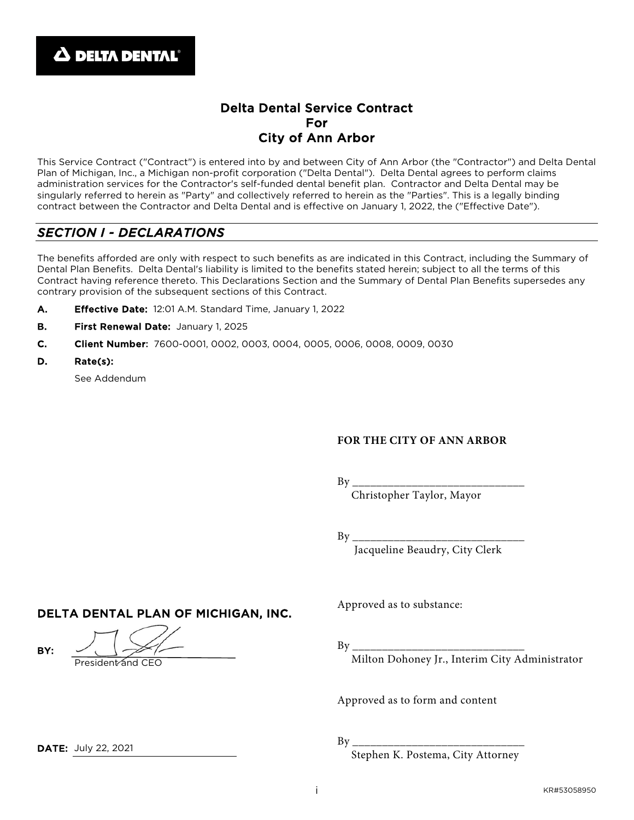## Delta Dental Service Contract For City of Ann Arbor

This Service Contract ("Contract") is entered into by and between City of Ann Arbor (the "Contractor") and Delta Dental Plan of Michigan, Inc., a Michigan non-profit corporation ("Delta Dental"). Delta Dental agrees to perform claims administration services for the Contractor's self-funded dental benefit plan. Contractor and Delta Dental may be singularly referred to herein as "Party" and collectively referred to herein as the "Parties". This is a legally binding contract between the Contractor and Delta Dental and is effective on January 1, 2022, the ("Effective Date").

## *SECTION I - DECLARATIONS*

The benefits afforded are only with respect to such benefits as are indicated in this Contract, including the Summary of Dental Plan Benefits. Delta Dental's liability is limited to the benefits stated herein; subject to all the terms of this Contract having reference thereto. This Declarations Section and the Summary of Dental Plan Benefits supersedes any contrary provision of the subsequent sections of this Contract.

- A. Effective Date: 12:01 A.M. Standard Time, January 1, 2022
- B. First Renewal Date: January 1, 2025
- C. Client Number: 7600-0001, 0002, 0003, 0004, 0005, 0006, 0008, 0009, 0030
- D. Rate(s):

See Addendum

#### **FOR THE CITY OF ANN ARBOR**

By \_\_\_\_\_\_\_\_\_\_\_\_\_\_\_\_\_\_\_\_\_\_\_\_\_\_\_\_\_

Christopher Taylor, Mayor

By \_\_\_\_\_\_\_\_\_\_\_\_\_\_\_\_\_\_\_\_\_\_\_\_\_\_\_\_\_

Jacqueline Beaudry, City Clerk

DELTA DENTAL PLAN OF MICHIGAN, INC.

President and CEO

Approved as to substance:

By \_\_\_\_\_\_\_\_\_\_\_\_\_\_\_\_\_\_\_\_\_\_\_\_\_\_\_\_\_

Milton Dohoney Jr., Interim City Administrator

Approved as to form and content

By \_\_\_\_\_\_\_\_\_\_\_\_\_\_\_\_\_\_\_\_\_\_\_\_\_\_\_\_\_

Stephen K. Postema, City Attorney

**DATE: July 22, 2021** 

BY: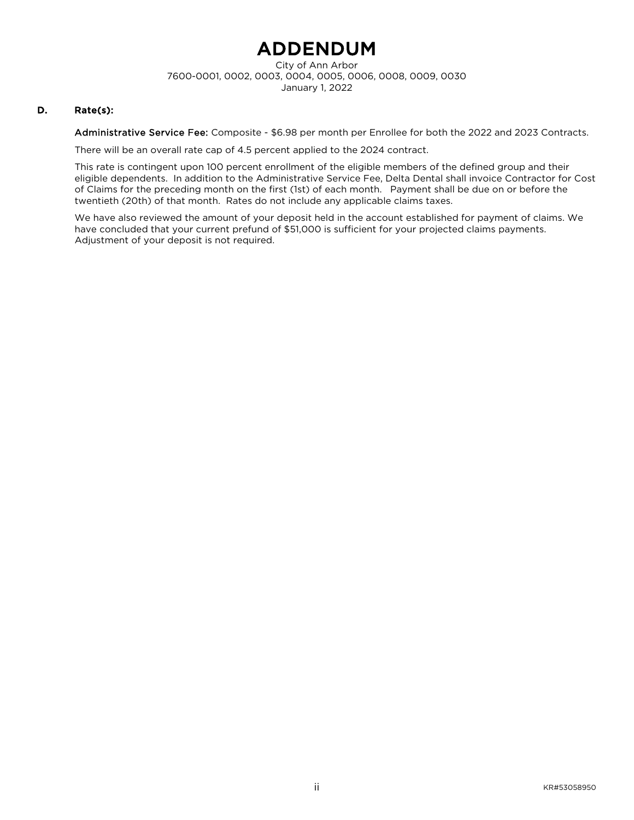## ADDENDUM

City of Ann Arbor 7600-0001, 0002, 0003, 0004, 0005, 0006, 0008, 0009, 0030 January 1, 2022

#### D. Rate(s):

Administrative Service Fee: Composite - \$6.98 per month per Enrollee for both the 2022 and 2023 Contracts.

There will be an overall rate cap of 4.5 percent applied to the 2024 contract.

This rate is contingent upon 100 percent enrollment of the eligible members of the defined group and their eligible dependents. In addition to the Administrative Service Fee, Delta Dental shall invoice Contractor for Cost of Claims for the preceding month on the first (1st) of each month. Payment shall be due on or before the twentieth (20th) of that month. Rates do not include any applicable claims taxes.

We have also reviewed the amount of your deposit held in the account established for payment of claims. We have concluded that your current prefund of \$51,000 is sufficient for your projected claims payments. Adjustment of your deposit is not required.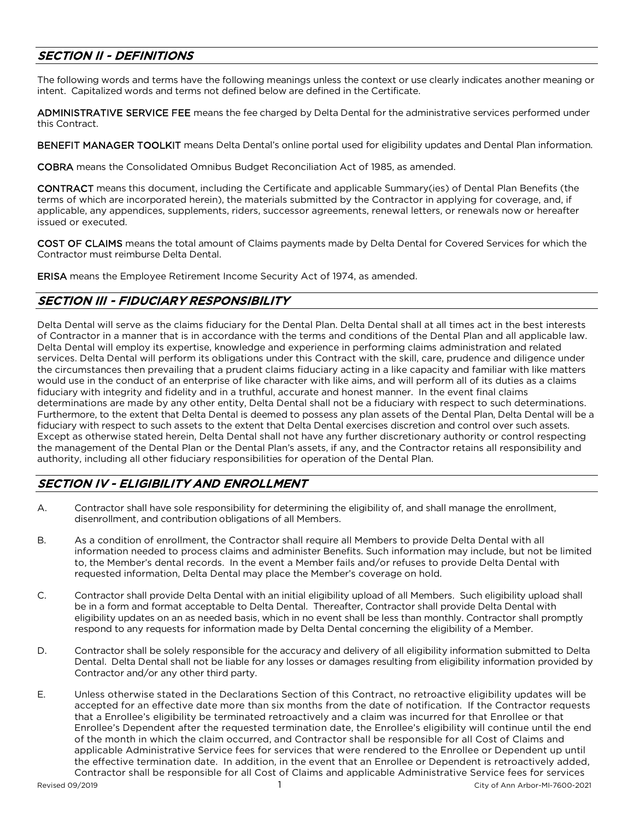## SECTION II - DEFINITIONS

The following words and terms have the following meanings unless the context or use clearly indicates another meaning or intent. Capitalized words and terms not defined below are defined in the Certificate.

ADMINISTRATIVE SERVICE FEE means the fee charged by Delta Dental for the administrative services performed under this Contract.

BENEFIT MANAGER TOOLKIT means Delta Dental's online portal used for eligibility updates and Dental Plan information.

COBRA means the Consolidated Omnibus Budget Reconciliation Act of 1985, as amended.

CONTRACT means this document, including the Certificate and applicable Summary(ies) of Dental Plan Benefits (the terms of which are incorporated herein), the materials submitted by the Contractor in applying for coverage, and, if applicable, any appendices, supplements, riders, successor agreements, renewal letters, or renewals now or hereafter issued or executed.

COST OF CLAIMS means the total amount of Claims payments made by Delta Dental for Covered Services for which the Contractor must reimburse Delta Dental.

ERISA means the Employee Retirement Income Security Act of 1974, as amended.

## SECTION III - FIDUCIARY RESPONSIBILITY

Delta Dental will serve as the claims fiduciary for the Dental Plan. Delta Dental shall at all times act in the best interests of Contractor in a manner that is in accordance with the terms and conditions of the Dental Plan and all applicable law. Delta Dental will employ its expertise, knowledge and experience in performing claims administration and related services. Delta Dental will perform its obligations under this Contract with the skill, care, prudence and diligence under the circumstances then prevailing that a prudent claims fiduciary acting in a like capacity and familiar with like matters would use in the conduct of an enterprise of like character with like aims, and will perform all of its duties as a claims fiduciary with integrity and fidelity and in a truthful, accurate and honest manner. In the event final claims determinations are made by any other entity, Delta Dental shall not be a fiduciary with respect to such determinations. Furthermore, to the extent that Delta Dental is deemed to possess any plan assets of the Dental Plan, Delta Dental will be a fiduciary with respect to such assets to the extent that Delta Dental exercises discretion and control over such assets. Except as otherwise stated herein, Delta Dental shall not have any further discretionary authority or control respecting the management of the Dental Plan or the Dental Plan's assets, if any, and the Contractor retains all responsibility and authority, including all other fiduciary responsibilities for operation of the Dental Plan.

## SECTION IV - ELIGIBILITY AND ENROLLMENT

- A. Contractor shall have sole responsibility for determining the eligibility of, and shall manage the enrollment, disenrollment, and contribution obligations of all Members.
- B. As a condition of enrollment, the Contractor shall require all Members to provide Delta Dental with all information needed to process claims and administer Benefits. Such information may include, but not be limited to, the Member's dental records. In the event a Member fails and/or refuses to provide Delta Dental with requested information, Delta Dental may place the Member's coverage on hold.
- C. Contractor shall provide Delta Dental with an initial eligibility upload of all Members. Such eligibility upload shall be in a form and format acceptable to Delta Dental. Thereafter, Contractor shall provide Delta Dental with eligibility updates on an as needed basis, which in no event shall be less than monthly. Contractor shall promptly respond to any requests for information made by Delta Dental concerning the eligibility of a Member.
- D. Contractor shall be solely responsible for the accuracy and delivery of all eligibility information submitted to Delta Dental. Delta Dental shall not be liable for any losses or damages resulting from eligibility information provided by Contractor and/or any other third party.
- E. Unless otherwise stated in the Declarations Section of this Contract, no retroactive eligibility updates will be accepted for an effective date more than six months from the date of notification. If the Contractor requests that a Enrollee's eligibility be terminated retroactively and a claim was incurred for that Enrollee or that Enrollee's Dependent after the requested termination date, the Enrollee's eligibility will continue until the end of the month in which the claim occurred, and Contractor shall be responsible for all Cost of Claims and applicable Administrative Service fees for services that were rendered to the Enrollee or Dependent up until the effective termination date. In addition, in the event that an Enrollee or Dependent is retroactively added, Contractor shall be responsible for all Cost of Claims and applicable Administrative Service fees for services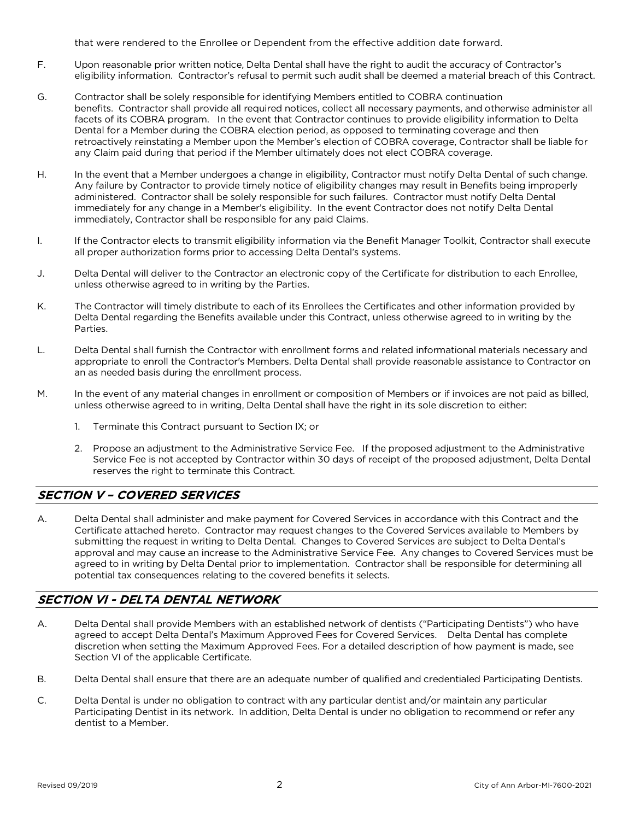that were rendered to the Enrollee or Dependent from the effective addition date forward.

- F. Upon reasonable prior written notice, Delta Dental shall have the right to audit the accuracy of Contractor's eligibility information. Contractor's refusal to permit such audit shall be deemed a material breach of this Contract.
- G. Contractor shall be solely responsible for identifying Members entitled to COBRA continuation benefits. Contractor shall provide all required notices, collect all necessary payments, and otherwise administer all facets of its COBRA program. In the event that Contractor continues to provide eligibility information to Delta Dental for a Member during the COBRA election period, as opposed to terminating coverage and then retroactively reinstating a Member upon the Member's election of COBRA coverage, Contractor shall be liable for any Claim paid during that period if the Member ultimately does not elect COBRA coverage.
- H. In the event that a Member undergoes a change in eligibility, Contractor must notify Delta Dental of such change. Any failure by Contractor to provide timely notice of eligibility changes may result in Benefits being improperly administered. Contractor shall be solely responsible for such failures. Contractor must notify Delta Dental immediately for any change in a Member's eligibility. In the event Contractor does not notify Delta Dental immediately, Contractor shall be responsible for any paid Claims.
- I. If the Contractor elects to transmit eligibility information via the Benefit Manager Toolkit, Contractor shall execute all proper authorization forms prior to accessing Delta Dental's systems.
- J. Delta Dental will deliver to the Contractor an electronic copy of the Certificate for distribution to each Enrollee, unless otherwise agreed to in writing by the Parties.
- K. The Contractor will timely distribute to each of its Enrollees the Certificates and other information provided by Delta Dental regarding the Benefits available under this Contract, unless otherwise agreed to in writing by the Parties.
- L. Delta Dental shall furnish the Contractor with enrollment forms and related informational materials necessary and appropriate to enroll the Contractor's Members. Delta Dental shall provide reasonable assistance to Contractor on an as needed basis during the enrollment process.
- M. In the event of any material changes in enrollment or composition of Members or if invoices are not paid as billed, unless otherwise agreed to in writing, Delta Dental shall have the right in its sole discretion to either:
	- 1. Terminate this Contract pursuant to Section IX; or
	- 2. Propose an adjustment to the Administrative Service Fee. If the proposed adjustment to the Administrative Service Fee is not accepted by Contractor within 30 days of receipt of the proposed adjustment, Delta Dental reserves the right to terminate this Contract.

## SECTION V – COVERED SERVICES

A. Delta Dental shall administer and make payment for Covered Services in accordance with this Contract and the Certificate attached hereto. Contractor may request changes to the Covered Services available to Members by submitting the request in writing to Delta Dental. Changes to Covered Services are subject to Delta Dental's approval and may cause an increase to the Administrative Service Fee. Any changes to Covered Services must be agreed to in writing by Delta Dental prior to implementation. Contractor shall be responsible for determining all potential tax consequences relating to the covered benefits it selects.

## SECTION VI - DELTA DENTAL NETWORK

- A. Delta Dental shall provide Members with an established network of dentists ("Participating Dentists") who have agreed to accept Delta Dental's Maximum Approved Fees for Covered Services. Delta Dental has complete discretion when setting the Maximum Approved Fees. For a detailed description of how payment is made, see Section VI of the applicable Certificate.
- B. Delta Dental shall ensure that there are an adequate number of qualified and credentialed Participating Dentists.
- C. Delta Dental is under no obligation to contract with any particular dentist and/or maintain any particular Participating Dentist in its network. In addition, Delta Dental is under no obligation to recommend or refer any dentist to a Member.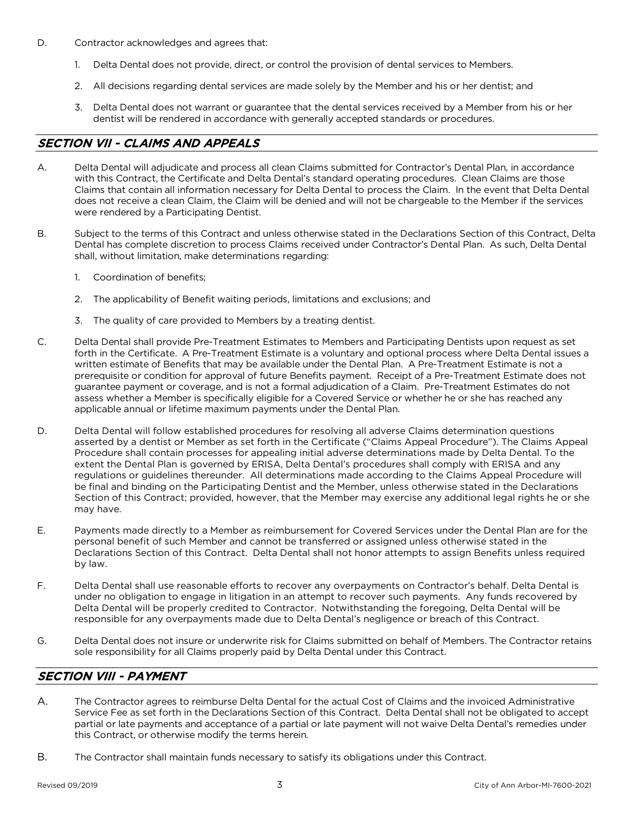- D. Contractor acknowledges and agrees that:
	- 1. Delta Dental does not provide, direct, or control the provision of dental services to Members.
	- 2. All decisions regarding dental services are made solely by the Member and his or her dentist; and
	- 3. Delta Dental does not warrant or guarantee that the dental services received by a Member from his or her dentist will be rendered in accordance with generally accepted standards or procedures.

## SECTION VII - CLAIMS AND APPEALS

- A. Delta Dental will adjudicate and process all clean Claims submitted for Contractor's Dental Plan, in accordance with this Contract, the Certificate and Delta Dental's standard operating procedures. Clean Claims are those Claims that contain all information necessary for Delta Dental to process the Claim. In the event that Delta Dental does not receive a clean Claim, the Claim will be denied and will not be chargeable to the Member if the services were rendered by a Participating Dentist.
- B. Subject to the terms of this Contract and unless otherwise stated in the Declarations Section of this Contract, Delta Dental has complete discretion to process Claims received under Contractor's Dental Plan. As such, Delta Dental shall, without limitation, make determinations regarding:
	- 1. Coordination of benefits;
	- 2. The applicability of Benefit waiting periods, limitations and exclusions; and
	- 3. The quality of care provided to Members by a treating dentist.
- C. Delta Dental shall provide Pre-Treatment Estimates to Members and Participating Dentists upon request as set forth in the Certificate. A Pre-Treatment Estimate is a voluntary and optional process where Delta Dental issues a written estimate of Benefits that may be available under the Dental Plan. A Pre-Treatment Estimate is not a prerequisite or condition for approval of future Benefits payment. Receipt of a Pre-Treatment Estimate does not guarantee payment or coverage, and is not a formal adjudication of a Claim. Pre-Treatment Estimates do not assess whether a Member is specifically eligible for a Covered Service or whether he or she has reached any applicable annual or lifetime maximum payments under the Dental Plan.
- D. Delta Dental will follow established procedures for resolving all adverse Claims determination questions asserted by a dentist or Member as set forth in the Certificate ("Claims Appeal Procedure"). The Claims Appeal Procedure shall contain processes for appealing initial adverse determinations made by Delta Dental. To the extent the Dental Plan is governed by ERISA, Delta Dental's procedures shall comply with ERISA and any regulations or guidelines thereunder. All determinations made according to the Claims Appeal Procedure will be final and binding on the Participating Dentist and the Member, unless otherwise stated in the Declarations Section of this Contract; provided, however, that the Member may exercise any additional legal rights he or she may have.
- E. Payments made directly to a Member as reimbursement for Covered Services under the Dental Plan are for the personal benefit of such Member and cannot be transferred or assigned unless otherwise stated in the Declarations Section of this Contract. Delta Dental shall not honor attempts to assign Benefits unless required by law.
- F. Delta Dental shall use reasonable efforts to recover any overpayments on Contractor's behalf. Delta Dental is under no obligation to engage in litigation in an attempt to recover such payments. Any funds recovered by Delta Dental will be properly credited to Contractor. Notwithstanding the foregoing, Delta Dental will be responsible for any overpayments made due to Delta Dental's negligence or breach of this Contract.
- G. Delta Dental does not insure or underwrite risk for Claims submitted on behalf of Members. The Contractor retains sole responsibility for all Claims properly paid by Delta Dental under this Contract.

## SECTION VIII - PAYMENT

- A. The Contractor agrees to reimburse Delta Dental for the actual Cost of Claims and the invoiced Administrative Service Fee as set forth in the Declarations Section of this Contract. Delta Dental shall not be obligated to accept partial or late payments and acceptance of a partial or late payment will not waive Delta Dental's remedies under this Contract, or otherwise modify the terms herein.
- B. The Contractor shall maintain funds necessary to satisfy its obligations under this Contract.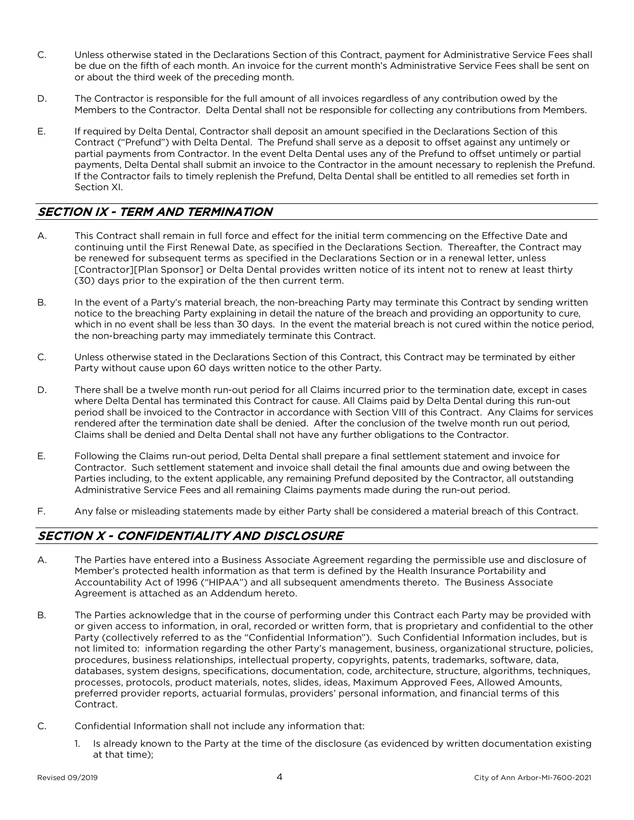- C. Unless otherwise stated in the Declarations Section of this Contract, payment for Administrative Service Fees shall be due on the fifth of each month. An invoice for the current month's Administrative Service Fees shall be sent on or about the third week of the preceding month.
- D. The Contractor is responsible for the full amount of all invoices regardless of any contribution owed by the Members to the Contractor. Delta Dental shall not be responsible for collecting any contributions from Members.
- E. If required by Delta Dental, Contractor shall deposit an amount specified in the Declarations Section of this Contract ("Prefund") with Delta Dental. The Prefund shall serve as a deposit to offset against any untimely or partial payments from Contractor. In the event Delta Dental uses any of the Prefund to offset untimely or partial payments, Delta Dental shall submit an invoice to the Contractor in the amount necessary to replenish the Prefund. If the Contractor fails to timely replenish the Prefund, Delta Dental shall be entitled to all remedies set forth in Section XI.

### SECTION IX - TERM AND TERMINATION

- A. This Contract shall remain in full force and effect for the initial term commencing on the Effective Date and continuing until the First Renewal Date, as specified in the Declarations Section. Thereafter, the Contract may be renewed for subsequent terms as specified in the Declarations Section or in a renewal letter, unless [Contractor][Plan Sponsor] or Delta Dental provides written notice of its intent not to renew at least thirty (30) days prior to the expiration of the then current term.
- B. In the event of a Party's material breach, the non-breaching Party may terminate this Contract by sending written notice to the breaching Party explaining in detail the nature of the breach and providing an opportunity to cure, which in no event shall be less than 30 days. In the event the material breach is not cured within the notice period, the non-breaching party may immediately terminate this Contract.
- C. Unless otherwise stated in the Declarations Section of this Contract, this Contract may be terminated by either Party without cause upon 60 days written notice to the other Party.
- D. There shall be a twelve month run-out period for all Claims incurred prior to the termination date, except in cases where Delta Dental has terminated this Contract for cause. All Claims paid by Delta Dental during this run-out period shall be invoiced to the Contractor in accordance with Section VIII of this Contract. Any Claims for services rendered after the termination date shall be denied. After the conclusion of the twelve month run out period, Claims shall be denied and Delta Dental shall not have any further obligations to the Contractor.
- E. Following the Claims run-out period, Delta Dental shall prepare a final settlement statement and invoice for Contractor. Such settlement statement and invoice shall detail the final amounts due and owing between the Parties including, to the extent applicable, any remaining Prefund deposited by the Contractor, all outstanding Administrative Service Fees and all remaining Claims payments made during the run-out period.
- F. Any false or misleading statements made by either Party shall be considered a material breach of this Contract.

## SECTION X - CONFIDENTIALITY AND DISCLOSURE

- A. The Parties have entered into a Business Associate Agreement regarding the permissible use and disclosure of Member's protected health information as that term is defined by the Health Insurance Portability and Accountability Act of 1996 ("HIPAA") and all subsequent amendments thereto. The Business Associate Agreement is attached as an Addendum hereto.
- B. The Parties acknowledge that in the course of performing under this Contract each Party may be provided with or given access to information, in oral, recorded or written form, that is proprietary and confidential to the other Party (collectively referred to as the "Confidential Information"). Such Confidential Information includes, but is not limited to: information regarding the other Party's management, business, organizational structure, policies, procedures, business relationships, intellectual property, copyrights, patents, trademarks, software, data, databases, system designs, specifications, documentation, code, architecture, structure, algorithms, techniques, processes, protocols, product materials, notes, slides, ideas, Maximum Approved Fees, Allowed Amounts, preferred provider reports, actuarial formulas, providers' personal information, and financial terms of this Contract.
- C. Confidential Information shall not include any information that:
	- 1. Is already known to the Party at the time of the disclosure (as evidenced by written documentation existing at that time);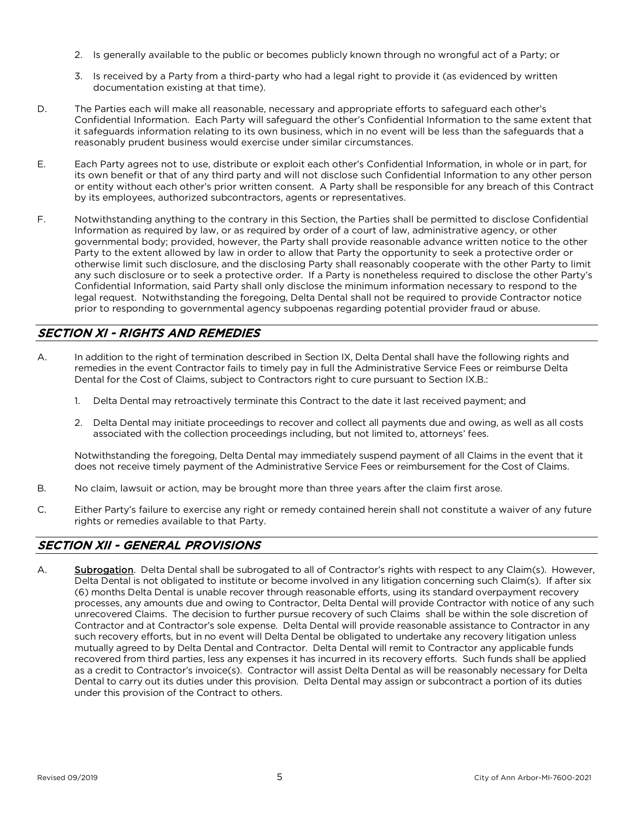- 2. Is generally available to the public or becomes publicly known through no wrongful act of a Party; or
- 3. Is received by a Party from a third-party who had a legal right to provide it (as evidenced by written documentation existing at that time).
- D. The Parties each will make all reasonable, necessary and appropriate efforts to safeguard each other's Confidential Information. Each Party will safeguard the other's Confidential Information to the same extent that it safeguards information relating to its own business, which in no event will be less than the safeguards that a reasonably prudent business would exercise under similar circumstances.
- E. Each Party agrees not to use, distribute or exploit each other's Confidential Information, in whole or in part, for its own benefit or that of any third party and will not disclose such Confidential Information to any other person or entity without each other's prior written consent. A Party shall be responsible for any breach of this Contract by its employees, authorized subcontractors, agents or representatives.
- F. Notwithstanding anything to the contrary in this Section, the Parties shall be permitted to disclose Confidential Information as required by law, or as required by order of a court of law, administrative agency, or other governmental body; provided, however, the Party shall provide reasonable advance written notice to the other Party to the extent allowed by law in order to allow that Party the opportunity to seek a protective order or otherwise limit such disclosure, and the disclosing Party shall reasonably cooperate with the other Party to limit any such disclosure or to seek a protective order. If a Party is nonetheless required to disclose the other Party's Confidential Information, said Party shall only disclose the minimum information necessary to respond to the legal request. Notwithstanding the foregoing, Delta Dental shall not be required to provide Contractor notice prior to responding to governmental agency subpoenas regarding potential provider fraud or abuse.

## SECTION XI - RIGHTS AND REMEDIES

- A. In addition to the right of termination described in Section IX, Delta Dental shall have the following rights and remedies in the event Contractor fails to timely pay in full the Administrative Service Fees or reimburse Delta Dental for the Cost of Claims, subject to Contractors right to cure pursuant to Section IX.B.:
	- 1. Delta Dental may retroactively terminate this Contract to the date it last received payment; and
	- 2. Delta Dental may initiate proceedings to recover and collect all payments due and owing, as well as all costs associated with the collection proceedings including, but not limited to, attorneys' fees.

Notwithstanding the foregoing, Delta Dental may immediately suspend payment of all Claims in the event that it does not receive timely payment of the Administrative Service Fees or reimbursement for the Cost of Claims.

- B. No claim, lawsuit or action, may be brought more than three years after the claim first arose.
- C. Either Party's failure to exercise any right or remedy contained herein shall not constitute a waiver of any future rights or remedies available to that Party.

## SECTION XII - GENERAL PROVISIONS

A. Subrogation. Delta Dental shall be subrogated to all of Contractor's rights with respect to any Claim(s). However, Delta Dental is not obligated to institute or become involved in any litigation concerning such Claim(s). If after six (6) months Delta Dental is unable recover through reasonable efforts, using its standard overpayment recovery processes, any amounts due and owing to Contractor, Delta Dental will provide Contractor with notice of any such unrecovered Claims. The decision to further pursue recovery of such Claims shall be within the sole discretion of Contractor and at Contractor's sole expense. Delta Dental will provide reasonable assistance to Contractor in any such recovery efforts, but in no event will Delta Dental be obligated to undertake any recovery litigation unless mutually agreed to by Delta Dental and Contractor. Delta Dental will remit to Contractor any applicable funds recovered from third parties, less any expenses it has incurred in its recovery efforts. Such funds shall be applied as a credit to Contractor's invoice(s). Contractor will assist Delta Dental as will be reasonably necessary for Delta Dental to carry out its duties under this provision. Delta Dental may assign or subcontract a portion of its duties under this provision of the Contract to others.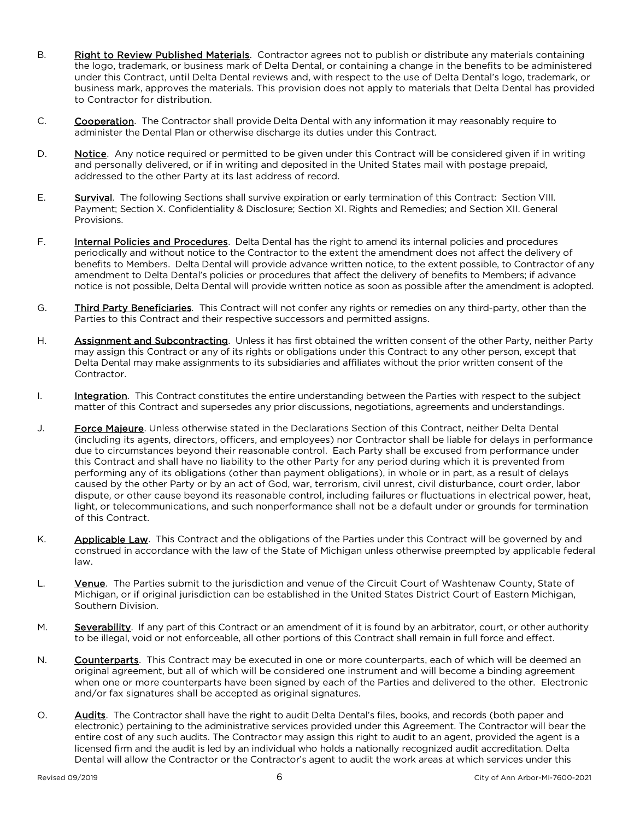- B. Right to Review Published Materials. Contractor agrees not to publish or distribute any materials containing the logo, trademark, or business mark of Delta Dental, or containing a change in the benefits to be administered under this Contract, until Delta Dental reviews and, with respect to the use of Delta Dental's logo, trademark, or business mark, approves the materials. This provision does not apply to materials that Delta Dental has provided to Contractor for distribution.
- C. Cooperation. The Contractor shall provide Delta Dental with any information it may reasonably require to administer the Dental Plan or otherwise discharge its duties under this Contract.
- D. Notice. Any notice required or permitted to be given under this Contract will be considered given if in writing and personally delivered, or if in writing and deposited in the United States mail with postage prepaid, addressed to the other Party at its last address of record.
- E. Survival. The following Sections shall survive expiration or early termination of this Contract: Section VIII. Payment; Section X. Confidentiality & Disclosure; Section XI. Rights and Remedies; and Section XII. General Provisions.
- F. **Internal Policies and Procedures**. Delta Dental has the right to amend its internal policies and procedures periodically and without notice to the Contractor to the extent the amendment does not affect the delivery of benefits to Members. Delta Dental will provide advance written notice, to the extent possible, to Contractor of any amendment to Delta Dental's policies or procedures that affect the delivery of benefits to Members; if advance notice is not possible, Delta Dental will provide written notice as soon as possible after the amendment is adopted.
- G. Third Party Beneficiaries. This Contract will not confer any rights or remedies on any third-party, other than the Parties to this Contract and their respective successors and permitted assigns.
- H. **Assignment and Subcontracting**. Unless it has first obtained the written consent of the other Party, neither Party may assign this Contract or any of its rights or obligations under this Contract to any other person, except that Delta Dental may make assignments to its subsidiaries and affiliates without the prior written consent of the Contractor.
- I. Integration. This Contract constitutes the entire understanding between the Parties with respect to the subject matter of this Contract and supersedes any prior discussions, negotiations, agreements and understandings.
- J. **Force Majeure**. Unless otherwise stated in the Declarations Section of this Contract, neither Delta Dental (including its agents, directors, officers, and employees) nor Contractor shall be liable for delays in performance due to circumstances beyond their reasonable control. Each Party shall be excused from performance under this Contract and shall have no liability to the other Party for any period during which it is prevented from performing any of its obligations (other than payment obligations), in whole or in part, as a result of delays caused by the other Party or by an act of God, war, terrorism, civil unrest, civil disturbance, court order, labor dispute, or other cause beyond its reasonable control, including failures or fluctuations in electrical power, heat, light, or telecommunications, and such nonperformance shall not be a default under or grounds for termination of this Contract.
- K. Applicable Law. This Contract and the obligations of the Parties under this Contract will be governed by and construed in accordance with the law of the State of Michigan unless otherwise preempted by applicable federal law.
- L. Yenue. The Parties submit to the jurisdiction and venue of the Circuit Court of Washtenaw County, State of Michigan, or if original jurisdiction can be established in the United States District Court of Eastern Michigan, Southern Division.
- M. Severability. If any part of this Contract or an amendment of it is found by an arbitrator, court, or other authority to be illegal, void or not enforceable, all other portions of this Contract shall remain in full force and effect.
- N. Counterparts. This Contract may be executed in one or more counterparts, each of which will be deemed an original agreement, but all of which will be considered one instrument and will become a binding agreement when one or more counterparts have been signed by each of the Parties and delivered to the other. Electronic and/or fax signatures shall be accepted as original signatures.
- O. Audits. The Contractor shall have the right to audit Delta Dental's files, books, and records (both paper and electronic) pertaining to the administrative services provided under this Agreement. The Contractor will bear the entire cost of any such audits. The Contractor may assign this right to audit to an agent, provided the agent is a licensed firm and the audit is led by an individual who holds a nationally recognized audit accreditation. Delta Dental will allow the Contractor or the Contractor's agent to audit the work areas at which services under this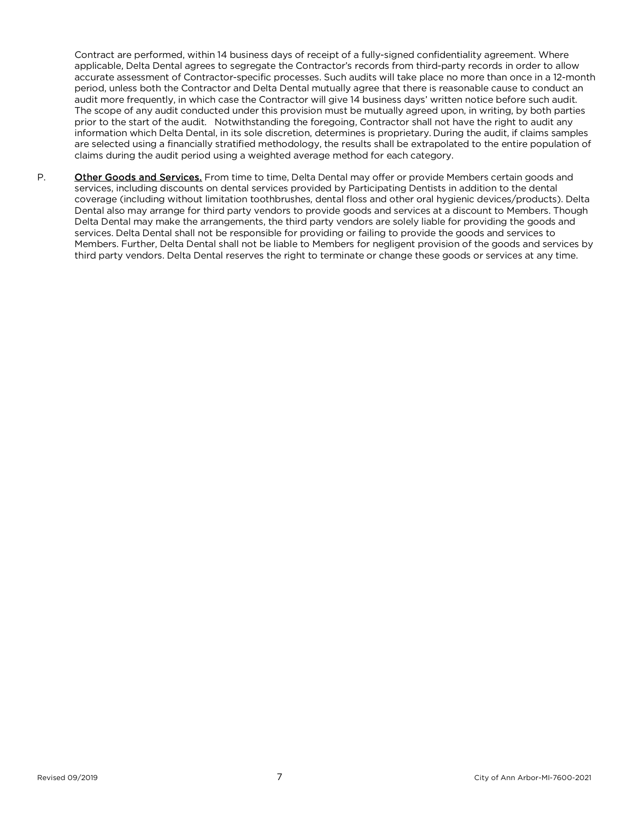Contract are performed, within 14 business days of receipt of a fully-signed confidentiality agreement. Where applicable, Delta Dental agrees to segregate the Contractor's records from third-party records in order to allow accurate assessment of Contractor-specific processes. Such audits will take place no more than once in a 12-month period, unless both the Contractor and Delta Dental mutually agree that there is reasonable cause to conduct an audit more frequently, in which case the Contractor will give 14 business days' written notice before such audit. The scope of any audit conducted under this provision must be mutually agreed upon, in writing, by both parties prior to the start of the audit. Notwithstanding the foregoing, Contractor shall not have the right to audit any information which Delta Dental, in its sole discretion, determines is proprietary. During the audit, if claims samples are selected using a financially stratified methodology, the results shall be extrapolated to the entire population of claims during the audit period using a weighted average method for each category.

P. Other Goods and Services. From time to time, Delta Dental may offer or provide Members certain goods and services, including discounts on dental services provided by Participating Dentists in addition to the dental coverage (including without limitation toothbrushes, dental floss and other oral hygienic devices/products). Delta Dental also may arrange for third party vendors to provide goods and services at a discount to Members. Though Delta Dental may make the arrangements, the third party vendors are solely liable for providing the goods and services. Delta Dental shall not be responsible for providing or failing to provide the goods and services to Members. Further, Delta Dental shall not be liable to Members for negligent provision of the goods and services by third party vendors. Delta Dental reserves the right to terminate or change these goods or services at any time.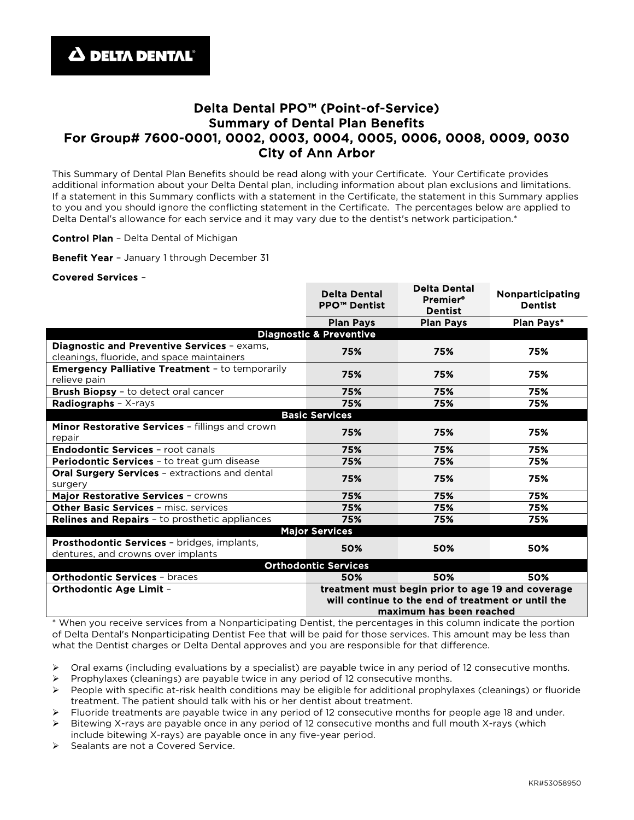## Delta Dental PPO™ (Point-of-Service) Summary of Dental Plan Benefits For Group# 7600-0001, 0002, 0003, 0004, 0005, 0006, 0008, 0009, 0030 City of Ann Arbor

This Summary of Dental Plan Benefits should be read along with your Certificate. Your Certificate provides additional information about your Delta Dental plan, including information about plan exclusions and limitations. If a statement in this Summary conflicts with a statement in the Certificate, the statement in this Summary applies to you and you should ignore the conflicting statement in the Certificate. The percentages below are applied to Delta Dental's allowance for each service and it may vary due to the dentist's network participation.\*

Delta Dental

Control Plan - Delta Dental of Michigan

Benefit Year - January 1 through December 31

#### Covered Services –

|                                                                                           | <b>Delta Dental</b><br><b>PPO™ Dentist</b>                                                                                          | <b>Delta Dental</b><br><b>Premier®</b><br><b>Dentist</b> | Nonparticipating<br><b>Dentist</b> |  |
|-------------------------------------------------------------------------------------------|-------------------------------------------------------------------------------------------------------------------------------------|----------------------------------------------------------|------------------------------------|--|
|                                                                                           | <b>Plan Pays</b>                                                                                                                    | <b>Plan Pays</b>                                         | Plan Pays*                         |  |
| <b>Diagnostic &amp; Preventive</b>                                                        |                                                                                                                                     |                                                          |                                    |  |
| Diagnostic and Preventive Services - exams,<br>cleanings, fluoride, and space maintainers | 75%                                                                                                                                 | 75%                                                      | 75%                                |  |
| <b>Emergency Palliative Treatment - to temporarily</b><br>relieve pain                    | 75%                                                                                                                                 | 75%                                                      | 75%                                |  |
| Brush Biopsy - to detect oral cancer                                                      | 75%                                                                                                                                 | 75%                                                      | 75%                                |  |
| Radiographs - X-rays                                                                      | 75%                                                                                                                                 | 75%                                                      | 75%                                |  |
| <b>Basic Services</b>                                                                     |                                                                                                                                     |                                                          |                                    |  |
| Minor Restorative Services - fillings and crown<br>repair                                 | 75%                                                                                                                                 | 75%                                                      | 75%                                |  |
| <b>Endodontic Services - root canals</b>                                                  | 75%                                                                                                                                 | 75%                                                      | 75%                                |  |
| <b>Periodontic Services - to treat gum disease</b>                                        | 75%                                                                                                                                 | 75%                                                      | 75%                                |  |
| <b>Oral Surgery Services - extractions and dental</b><br>surgery                          | 75%                                                                                                                                 | 75%                                                      | 75%                                |  |
| Major Restorative Services - crowns                                                       | 75%                                                                                                                                 | 75%                                                      | 75%                                |  |
| Other Basic Services - misc. services                                                     | 75%                                                                                                                                 | 75%                                                      | 75%                                |  |
| Relines and Repairs - to prosthetic appliances                                            | 75%                                                                                                                                 | 75%                                                      | 75%                                |  |
| <b>Major Services</b>                                                                     |                                                                                                                                     |                                                          |                                    |  |
| Prosthodontic Services - bridges, implants,<br>dentures, and crowns over implants         | 50%                                                                                                                                 | 50%                                                      | 50%                                |  |
| <b>Orthodontic Services</b>                                                               |                                                                                                                                     |                                                          |                                    |  |
| <b>Orthodontic Services - braces</b>                                                      | 50%                                                                                                                                 | 50%                                                      | 50%                                |  |
| Orthodontic Age Limit -                                                                   | treatment must begin prior to age 19 and coverage<br>will continue to the end of treatment or until the<br>maximum has been reached |                                                          |                                    |  |

\* When you receive services from a Nonparticipating Dentist, the percentages in this column indicate the portion of Delta Dental's Nonparticipating Dentist Fee that will be paid for those services. This amount may be less than what the Dentist charges or Delta Dental approves and you are responsible for that difference.

 $\triangleright$  Oral exams (including evaluations by a specialist) are payable twice in any period of 12 consecutive months.

Prophylaxes (cleanings) are payable twice in any period of 12 consecutive months.

 People with specific at-risk health conditions may be eligible for additional prophylaxes (cleanings) or fluoride treatment. The patient should talk with his or her dentist about treatment.

Fluoride treatments are payable twice in any period of 12 consecutive months for people age 18 and under.

 $\triangleright$  Bitewing X-rays are payable once in any period of 12 consecutive months and full mouth X-rays (which include bitewing X-rays) are payable once in any five-year period.

Sealants are not a Covered Service.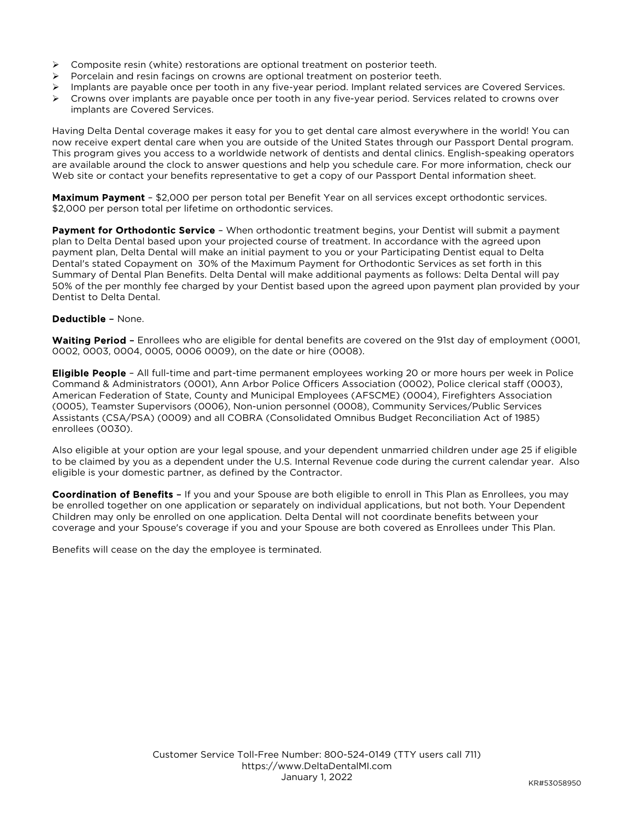- $\triangleright$  Composite resin (white) restorations are optional treatment on posterior teeth.
- $\triangleright$  Porcelain and resin facings on crowns are optional treatment on posterior teeth.
- Implants are payable once per tooth in any five-year period. Implant related services are Covered Services.
- $\triangleright$  Crowns over implants are payable once per tooth in any five-year period. Services related to crowns over implants are Covered Services.

Having Delta Dental coverage makes it easy for you to get dental care almost everywhere in the world! You can now receive expert dental care when you are outside of the United States through our Passport Dental program. This program gives you access to a worldwide network of dentists and dental clinics. English-speaking operators are available around the clock to answer questions and help you schedule care. For more information, check our Web site or contact your benefits representative to get a copy of our Passport Dental information sheet.

Maximum Payment - \$2,000 per person total per Benefit Year on all services except orthodontic services. \$2,000 per person total per lifetime on orthodontic services.

**Payment for Orthodontic Service** - When orthodontic treatment begins, your Dentist will submit a payment plan to Delta Dental based upon your projected course of treatment. In accordance with the agreed upon payment plan, Delta Dental will make an initial payment to you or your Participating Dentist equal to Delta Dental's stated Copayment on 30% of the Maximum Payment for Orthodontic Services as set forth in this Summary of Dental Plan Benefits. Delta Dental will make additional payments as follows: Delta Dental will pay 50% of the per monthly fee charged by your Dentist based upon the agreed upon payment plan provided by your Dentist to Delta Dental.

#### Deductible – None.

Waiting Period - Enrollees who are eligible for dental benefits are covered on the 91st day of employment (0001, 0002, 0003, 0004, 0005, 0006 0009), on the date or hire (0008).

**Eligible People** - All full-time and part-time permanent employees working 20 or more hours per week in Police Command & Administrators (0001), Ann Arbor Police Officers Association (0002), Police clerical staff (0003), American Federation of State, County and Municipal Employees (AFSCME) (0004), Firefighters Association (0005), Teamster Supervisors (0006), Non-union personnel (0008), Community Services/Public Services Assistants (CSA/PSA) (0009) and all COBRA (Consolidated Omnibus Budget Reconciliation Act of 1985) enrollees (0030).

Also eligible at your option are your legal spouse, and your dependent unmarried children under age 25 if eligible to be claimed by you as a dependent under the U.S. Internal Revenue code during the current calendar year. Also eligible is your domestic partner, as defined by the Contractor.

Coordination of Benefits - If you and your Spouse are both eligible to enroll in This Plan as Enrollees, you may be enrolled together on one application or separately on individual applications, but not both. Your Dependent Children may only be enrolled on one application. Delta Dental will not coordinate benefits between your coverage and your Spouse's coverage if you and your Spouse are both covered as Enrollees under This Plan.

Benefits will cease on the day the employee is terminated.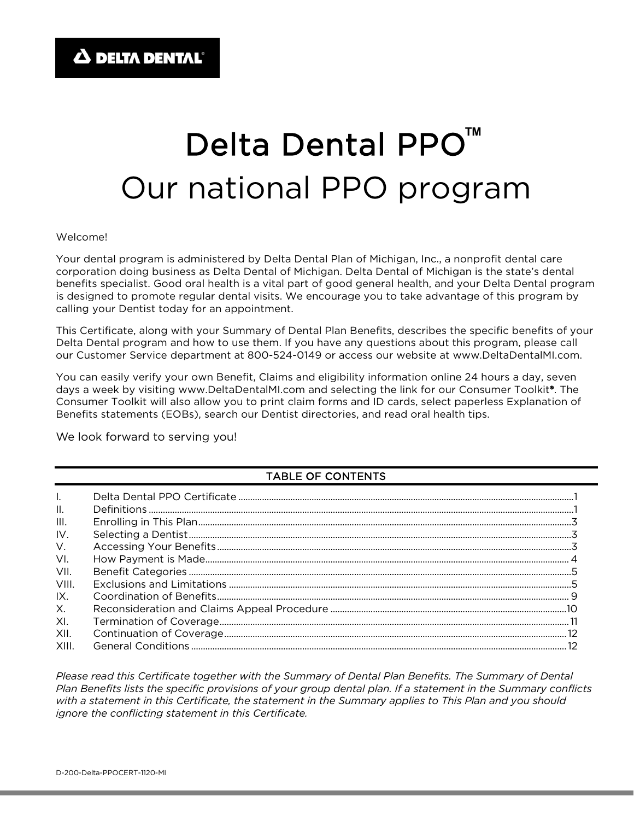# Delta Dental PPO<sup>™</sup> Our national PPO program

#### Welcome!

Your dental program is administered by Delta Dental Plan of Michigan, Inc., a nonprofit dental care corporation doing business as Delta Dental of Michigan. Delta Dental of Michigan is the state's dental benefits specialist. Good oral health is a vital part of good general health, and your Delta Dental program is designed to promote regular dental visits. We encourage you to take advantage of this program by calling your Dentist today for an appointment.

This Certificate, along with your Summary of Dental Plan Benefits, describes the specific benefits of your Delta Dental program and how to use them. If you have any questions about this program, please call our Customer Service department at 800-524-0149 or access our website at www.DeltaDentalMI.com.

You can easily verify your own Benefit, Claims and eligibility information online 24 hours a day, seven days a week by visiting www.DeltaDentalMI.com and selecting the link for our Consumer Toolkit®. The Consumer Toolkit will also allow you to print claim forms and ID cards, select paperless Explanation of Benefits statements (EOBs), search our Dentist directories, and read oral health tips.

We look forward to serving you!

#### TABLE OF CONTENTS

| $\mathbf{II}$ . |  |
|-----------------|--|
| III.            |  |
| IV.             |  |
| V.              |  |
| VI.             |  |
| VII.            |  |
| VIII.           |  |
| IX.             |  |
| X.              |  |
| XI.             |  |
| XII.            |  |
| XIII.           |  |

*Please read this Certificate together with the Summary of Dental Plan Benefits. The Summary of Dental Plan Benefits lists the specific provisions of your group dental plan. If a statement in the Summary conflicts with a statement in this Certificate, the statement in the Summary applies to This Plan and you should ignore the conflicting statement in this Certificate.*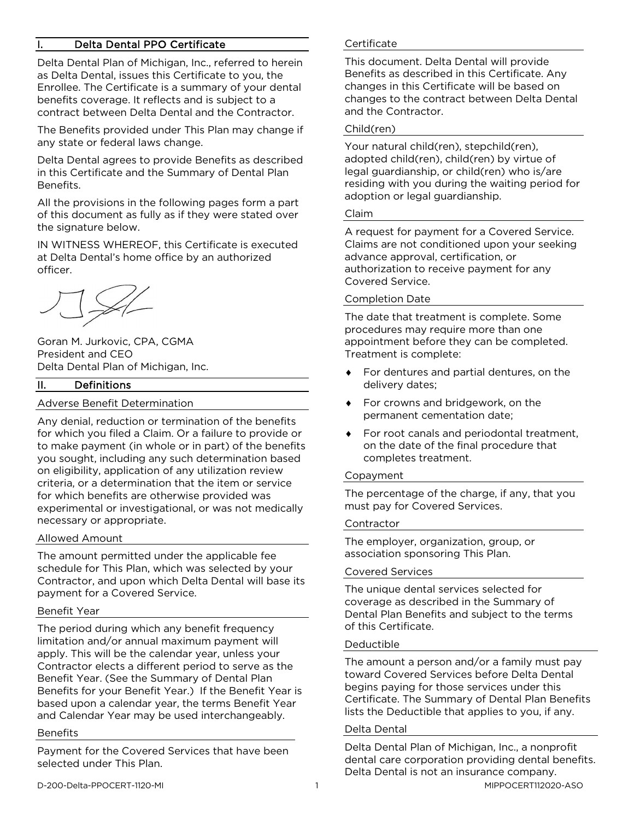#### Delta Dental PPO Certificate

Delta Dental Plan of Michigan, Inc., referred to herein as Delta Dental, issues this Certificate to you, the Enrollee. The Certificate is a summary of your dental benefits coverage. It reflects and is subject to a contract between Delta Dental and the Contractor.

The Benefits provided under This Plan may change if any state or federal laws change.

Delta Dental agrees to provide Benefits as described in this Certificate and the Summary of Dental Plan Benefits.

All the provisions in the following pages form a part of this document as fully as if they were stated over the signature below.

IN WITNESS WHEREOF, this Certificate is executed at Delta Dental's home office by an authorized officer.

Goran M. Jurkovic, CPA, CGMA President and CEO Delta Dental Plan of Michigan, Inc.

#### II. Definitions

#### Adverse Benefit Determination

Any denial, reduction or termination of the benefits for which you filed a Claim. Or a failure to provide or to make payment (in whole or in part) of the benefits you sought, including any such determination based on eligibility, application of any utilization review criteria, or a determination that the item or service for which benefits are otherwise provided was experimental or investigational, or was not medically necessary or appropriate.

#### Allowed Amount

The amount permitted under the applicable fee schedule for This Plan, which was selected by your Contractor, and upon which Delta Dental will base its payment for a Covered Service.

#### Benefit Year

The period during which any benefit frequency limitation and/or annual maximum payment will apply. This will be the calendar year, unless your Contractor elects a different period to serve as the Benefit Year. (See the Summary of Dental Plan Benefits for your Benefit Year.) If the Benefit Year is based upon a calendar year, the terms Benefit Year and Calendar Year may be used interchangeably.

#### Benefits

Payment for the Covered Services that have been selected under This Plan.

#### **Certificate**

This document. Delta Dental will provide Benefits as described in this Certificate. Any changes in this Certificate will be based on changes to the contract between Delta Dental and the Contractor.

#### Child(ren)

Your natural child(ren), stepchild(ren), adopted child(ren), child(ren) by virtue of legal guardianship, or child(ren) who is/are residing with you during the waiting period for adoption or legal guardianship.

#### Claim

A request for payment for a Covered Service. Claims are not conditioned upon your seeking advance approval, certification, or authorization to receive payment for any Covered Service.

#### Completion Date

The date that treatment is complete. Some procedures may require more than one appointment before they can be completed. Treatment is complete:

- ♦ For dentures and partial dentures, on the delivery dates;
- ♦ For crowns and bridgework, on the permanent cementation date;
- ♦ For root canals and periodontal treatment, on the date of the final procedure that completes treatment.

#### Copayment

The percentage of the charge, if any, that you must pay for Covered Services.

#### Contractor

The employer, organization, group, or association sponsoring This Plan.

#### Covered Services

The unique dental services selected for coverage as described in the Summary of Dental Plan Benefits and subject to the terms of this Certificate.

#### Deductible

The amount a person and/or a family must pay toward Covered Services before Delta Dental begins paying for those services under this Certificate. The Summary of Dental Plan Benefits lists the Deductible that applies to you, if any.

#### Delta Dental

Delta Dental Plan of Michigan, Inc., a nonprofit dental care corporation providing dental benefits. Delta Dental is not an insurance company.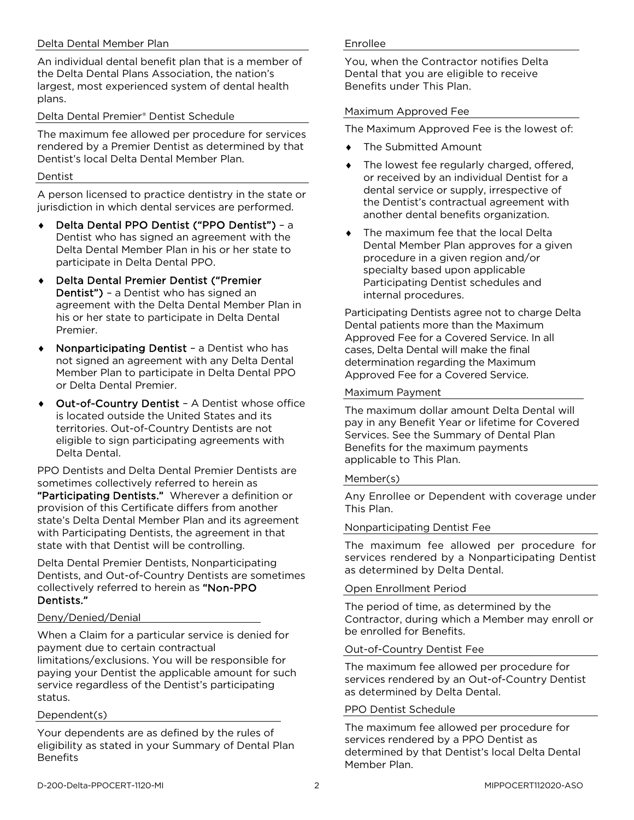#### Delta Dental Member Plan

An individual dental benefit plan that is a member of the Delta Dental Plans Association, the nation's largest, most experienced system of dental health plans.

#### Delta Dental Premier® Dentist Schedule

The maximum fee allowed per procedure for services rendered by a Premier Dentist as determined by that Dentist's local Delta Dental Member Plan.

#### Dentist

A person licensed to practice dentistry in the state or jurisdiction in which dental services are performed.

- Delta Dental PPO Dentist ("PPO Dentist") a Dentist who has signed an agreement with the Delta Dental Member Plan in his or her state to participate in Delta Dental PPO.
- ♦ Delta Dental Premier Dentist ("Premier Dentist") – a Dentist who has signed an agreement with the Delta Dental Member Plan in his or her state to participate in Delta Dental Premier.
- Nonparticipating Dentist a Dentist who has not signed an agreement with any Delta Dental Member Plan to participate in Delta Dental PPO or Delta Dental Premier.
- Out-of-Country Dentist A Dentist whose office is located outside the United States and its territories. Out-of-Country Dentists are not eligible to sign participating agreements with Delta Dental.

PPO Dentists and Delta Dental Premier Dentists are sometimes collectively referred to herein as "Participating Dentists." Wherever a definition or provision of this Certificate differs from another state's Delta Dental Member Plan and its agreement with Participating Dentists, the agreement in that state with that Dentist will be controlling.

Delta Dental Premier Dentists, Nonparticipating Dentists, and Out-of-Country Dentists are sometimes collectively referred to herein as "Non-PPO Dentists."

#### Deny/Denied/Denial

When a Claim for a particular service is denied for payment due to certain contractual limitations/exclusions. You will be responsible for paying your Dentist the applicable amount for such service regardless of the Dentist's participating status.

#### Dependent(s)

Your dependents are as defined by the rules of eligibility as stated in your Summary of Dental Plan **Benefits** 

#### Enrollee

You, when the Contractor notifies Delta Dental that you are eligible to receive Benefits under This Plan.

#### Maximum Approved Fee

The Maximum Approved Fee is the lowest of:

- ♦ The Submitted Amount
- The lowest fee regularly charged, offered, or received by an individual Dentist for a dental service or supply, irrespective of the Dentist's contractual agreement with another dental benefits organization.
- The maximum fee that the local Delta Dental Member Plan approves for a given procedure in a given region and/or specialty based upon applicable Participating Dentist schedules and internal procedures.

Participating Dentists agree not to charge Delta Dental patients more than the Maximum Approved Fee for a Covered Service. In all cases, Delta Dental will make the final determination regarding the Maximum Approved Fee for a Covered Service.

#### Maximum Payment

The maximum dollar amount Delta Dental will pay in any Benefit Year or lifetime for Covered Services. See the Summary of Dental Plan Benefits for the maximum payments applicable to This Plan.

#### Member(s)

Any Enrollee or Dependent with coverage under This Plan.

#### Nonparticipating Dentist Fee

The maximum fee allowed per procedure for services rendered by a Nonparticipating Dentist as determined by Delta Dental.

#### Open Enrollment Period

The period of time, as determined by the Contractor, during which a Member may enroll or be enrolled for Benefits.

#### Out-of-Country Dentist Fee

The maximum fee allowed per procedure for services rendered by an Out-of-Country Dentist as determined by Delta Dental.

#### PPO Dentist Schedule

The maximum fee allowed per procedure for services rendered by a PPO Dentist as determined by that Dentist's local Delta Dental Member Plan.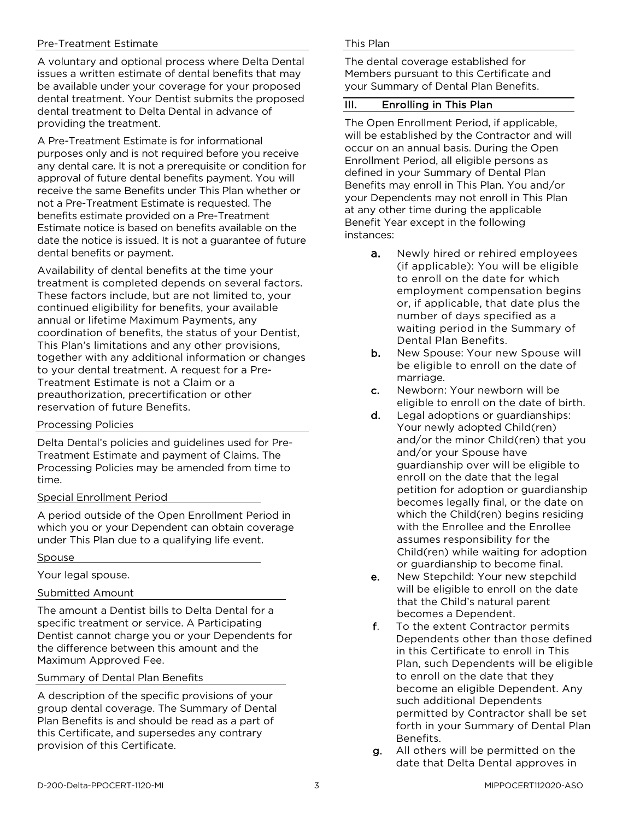#### Pre-Treatment Estimate

A voluntary and optional process where Delta Dental issues a written estimate of dental benefits that may be available under your coverage for your proposed dental treatment. Your Dentist submits the proposed dental treatment to Delta Dental in advance of providing the treatment.

A Pre-Treatment Estimate is for informational purposes only and is not required before you receive any dental care. It is not a prerequisite or condition for approval of future dental benefits payment. You will receive the same Benefits under This Plan whether or not a Pre-Treatment Estimate is requested. The benefits estimate provided on a Pre-Treatment Estimate notice is based on benefits available on the date the notice is issued. It is not a guarantee of future dental benefits or payment.

Availability of dental benefits at the time your treatment is completed depends on several factors. These factors include, but are not limited to, your continued eligibility for benefits, your available annual or lifetime Maximum Payments, any coordination of benefits, the status of your Dentist, This Plan's limitations and any other provisions, together with any additional information or changes to your dental treatment. A request for a Pre-Treatment Estimate is not a Claim or a preauthorization, precertification or other reservation of future Benefits.

#### Processing Policies

Delta Dental's policies and guidelines used for Pre-Treatment Estimate and payment of Claims. The Processing Policies may be amended from time to time.

#### Special Enrollment Period

A period outside of the Open Enrollment Period in which you or your Dependent can obtain coverage under This Plan due to a qualifying life event.

#### **Spouse**

Your legal spouse.

#### Submitted Amount

The amount a Dentist bills to Delta Dental for a specific treatment or service. A Participating Dentist cannot charge you or your Dependents for the difference between this amount and the Maximum Approved Fee.

Summary of Dental Plan Benefits

A description of the specific provisions of your group dental coverage. The Summary of Dental Plan Benefits is and should be read as a part of this Certificate, and supersedes any contrary provision of this Certificate.

#### This Plan

The dental coverage established for Members pursuant to this Certificate and your Summary of Dental Plan Benefits.

#### III. Enrolling in This Plan

The Open Enrollment Period, if applicable, will be established by the Contractor and will occur on an annual basis. During the Open Enrollment Period, all eligible persons as defined in your Summary of Dental Plan Benefits may enroll in This Plan. You and/or your Dependents may not enroll in This Plan at any other time during the applicable Benefit Year except in the following instances:

- **a.** Newly hired or rehired employees (if applicable): You will be eligible to enroll on the date for which employment compensation begins or, if applicable, that date plus the number of days specified as a waiting period in the Summary of Dental Plan Benefits.
- b. New Spouse: Your new Spouse will be eligible to enroll on the date of marriage.
- c. Newborn: Your newborn will be eligible to enroll on the date of birth.
- d. Legal adoptions or guardianships: Your newly adopted Child(ren) and/or the minor Child(ren) that you and/or your Spouse have guardianship over will be eligible to enroll on the date that the legal petition for adoption or guardianship becomes legally final, or the date on which the Child(ren) begins residing with the Enrollee and the Enrollee assumes responsibility for the Child(ren) while waiting for adoption or guardianship to become final.
- e. New Stepchild: Your new stepchild will be eligible to enroll on the date that the Child's natural parent becomes a Dependent.
- f. To the extent Contractor permits Dependents other than those defined in this Certificate to enroll in This Plan, such Dependents will be eligible to enroll on the date that they become an eligible Dependent. Any such additional Dependents permitted by Contractor shall be set forth in your Summary of Dental Plan Benefits.
- g. All others will be permitted on the date that Delta Dental approves in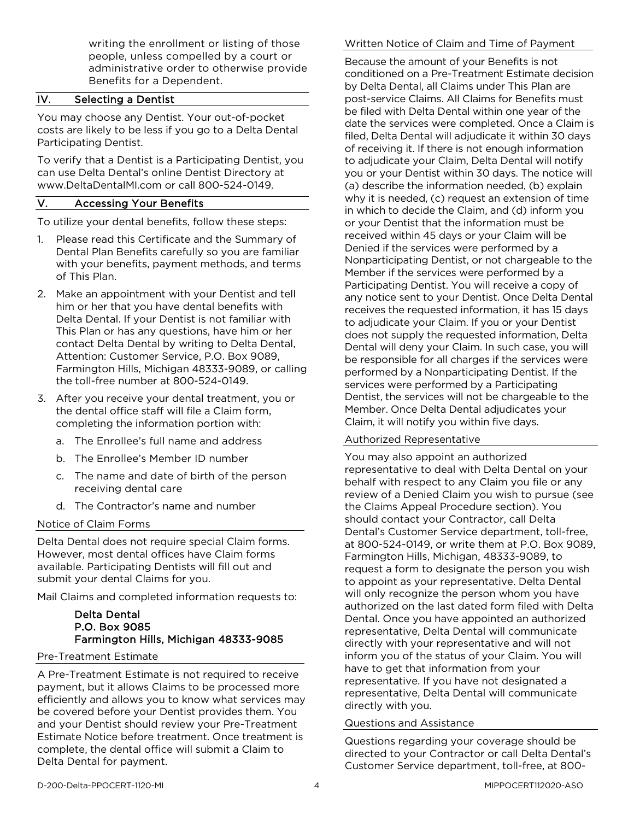writing the enrollment or listing of those people, unless compelled by a court or administrative order to otherwise provide Benefits for a Dependent.

## IV. Selecting a Dentist

You may choose any Dentist. Your out-of-pocket costs are likely to be less if you go to a Delta Dental Participating Dentist.

To verify that a Dentist is a Participating Dentist, you can use Delta Dental's online Dentist Directory at www.DeltaDentalMI.com or call 800-524-0149.

#### V. Accessing Your Benefits

To utilize your dental benefits, follow these steps:

- 1. Please read this Certificate and the Summary of Dental Plan Benefits carefully so you are familiar with your benefits, payment methods, and terms of This Plan.
- 2. Make an appointment with your Dentist and tell him or her that you have dental benefits with Delta Dental. If your Dentist is not familiar with This Plan or has any questions, have him or her contact Delta Dental by writing to Delta Dental, Attention: Customer Service, P.O. Box 9089, Farmington Hills, Michigan 48333-9089, or calling the toll-free number at 800-524-0149.
- 3. After you receive your dental treatment, you or the dental office staff will file a Claim form, completing the information portion with:
	- a. The Enrollee's full name and address
	- b. The Enrollee's Member ID number
	- c. The name and date of birth of the person receiving dental care
	- d. The Contractor's name and number

#### Notice of Claim Forms

Delta Dental does not require special Claim forms. However, most dental offices have Claim forms available. Participating Dentists will fill out and submit your dental Claims for you.

Mail Claims and completed information requests to:

#### Delta Dental P.O. Box 9085 Farmington Hills, Michigan 48333-9085

#### Pre-Treatment Estimate

A Pre-Treatment Estimate is not required to receive payment, but it allows Claims to be processed more efficiently and allows you to know what services may be covered before your Dentist provides them. You and your Dentist should review your Pre-Treatment Estimate Notice before treatment. Once treatment is complete, the dental office will submit a Claim to Delta Dental for payment.

#### Written Notice of Claim and Time of Payment

Because the amount of your Benefits is not conditioned on a Pre-Treatment Estimate decision by Delta Dental, all Claims under This Plan are post-service Claims. All Claims for Benefits must be filed with Delta Dental within one year of the date the services were completed. Once a Claim is filed, Delta Dental will adjudicate it within 30 days of receiving it. If there is not enough information to adjudicate your Claim, Delta Dental will notify you or your Dentist within 30 days. The notice will (a) describe the information needed, (b) explain why it is needed, (c) request an extension of time in which to decide the Claim, and (d) inform you or your Dentist that the information must be received within 45 days or your Claim will be Denied if the services were performed by a Nonparticipating Dentist, or not chargeable to the Member if the services were performed by a Participating Dentist. You will receive a copy of any notice sent to your Dentist. Once Delta Dental receives the requested information, it has 15 days to adjudicate your Claim. If you or your Dentist does not supply the requested information, Delta Dental will deny your Claim. In such case, you will be responsible for all charges if the services were performed by a Nonparticipating Dentist. If the services were performed by a Participating Dentist, the services will not be chargeable to the Member. Once Delta Dental adjudicates your Claim, it will notify you within five days.

#### Authorized Representative

You may also appoint an authorized representative to deal with Delta Dental on your behalf with respect to any Claim you file or any review of a Denied Claim you wish to pursue (see the Claims Appeal Procedure section). You should contact your Contractor, call Delta Dental's Customer Service department, toll-free, at 800-524-0149, or write them at P.O. Box 9089, Farmington Hills, Michigan, 48333-9089, to request a form to designate the person you wish to appoint as your representative. Delta Dental will only recognize the person whom you have authorized on the last dated form filed with Delta Dental. Once you have appointed an authorized representative, Delta Dental will communicate directly with your representative and will not inform you of the status of your Claim. You will have to get that information from your representative. If you have not designated a representative, Delta Dental will communicate directly with you.

#### Questions and Assistance

Questions regarding your coverage should be directed to your Contractor or call Delta Dental's Customer Service department, toll-free, at 800-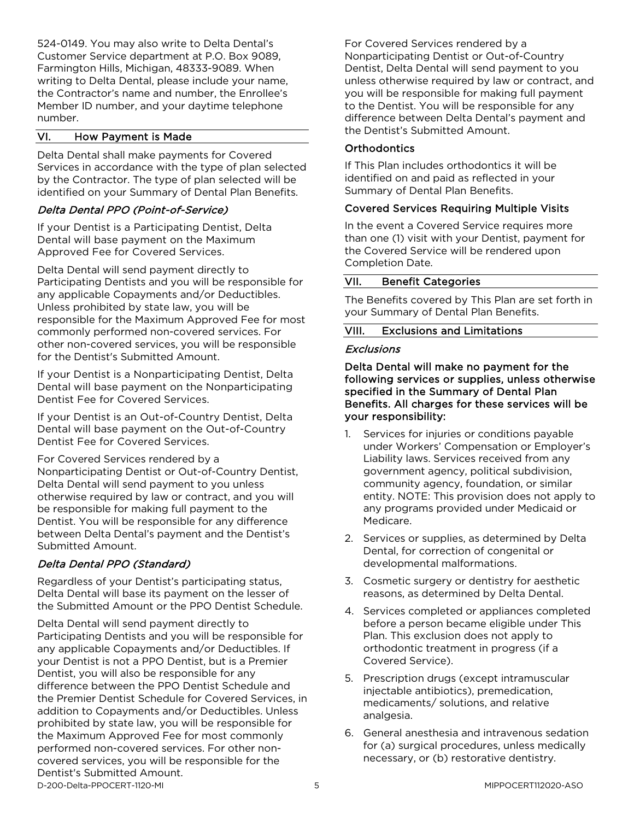524-0149. You may also write to Delta Dental's Customer Service department at P.O. Box 9089, Farmington Hills, Michigan, 48333-9089. When writing to Delta Dental, please include your name, the Contractor's name and number, the Enrollee's Member ID number, and your daytime telephone number.

#### VI. How Payment is Made

Delta Dental shall make payments for Covered Services in accordance with the type of plan selected by the Contractor. The type of plan selected will be identified on your Summary of Dental Plan Benefits.

#### Delta Dental PPO (Point-of-Service)

If your Dentist is a Participating Dentist, Delta Dental will base payment on the Maximum Approved Fee for Covered Services.

Delta Dental will send payment directly to Participating Dentists and you will be responsible for any applicable Copayments and/or Deductibles. Unless prohibited by state law, you will be responsible for the Maximum Approved Fee for most commonly performed non-covered services. For other non-covered services, you will be responsible for the Dentist's Submitted Amount.

If your Dentist is a Nonparticipating Dentist, Delta Dental will base payment on the Nonparticipating Dentist Fee for Covered Services.

If your Dentist is an Out-of-Country Dentist, Delta Dental will base payment on the Out-of-Country Dentist Fee for Covered Services.

For Covered Services rendered by a

Nonparticipating Dentist or Out-of-Country Dentist, Delta Dental will send payment to you unless otherwise required by law or contract, and you will be responsible for making full payment to the Dentist. You will be responsible for any difference between Delta Dental's payment and the Dentist's Submitted Amount.

#### Delta Dental PPO (Standard)

Regardless of your Dentist's participating status, Delta Dental will base its payment on the lesser of the Submitted Amount or the PPO Dentist Schedule.

D-200-Delta-PPOCERT-1120-MI 5 MIPPOCERT112020-ASO Delta Dental will send payment directly to Participating Dentists and you will be responsible for any applicable Copayments and/or Deductibles. If your Dentist is not a PPO Dentist, but is a Premier Dentist, you will also be responsible for any difference between the PPO Dentist Schedule and the Premier Dentist Schedule for Covered Services, in addition to Copayments and/or Deductibles. Unless prohibited by state law, you will be responsible for the Maximum Approved Fee for most commonly performed non-covered services. For other noncovered services, you will be responsible for the Dentist's Submitted Amount.

For Covered Services rendered by a Nonparticipating Dentist or Out-of-Country Dentist, Delta Dental will send payment to you unless otherwise required by law or contract, and you will be responsible for making full payment to the Dentist. You will be responsible for any difference between Delta Dental's payment and the Dentist's Submitted Amount.

#### **Orthodontics**

If This Plan includes orthodontics it will be identified on and paid as reflected in your Summary of Dental Plan Benefits.

#### Covered Services Requiring Multiple Visits

In the event a Covered Service requires more than one (1) visit with your Dentist, payment for the Covered Service will be rendered upon Completion Date.

#### VII. Benefit Categories

The Benefits covered by This Plan are set forth in your Summary of Dental Plan Benefits.

#### VIII. Exclusions and Limitations

#### **Exclusions**

Delta Dental will make no payment for the following services or supplies, unless otherwise specified in the Summary of Dental Plan Benefits. All charges for these services will be your responsibility:

- 1. Services for injuries or conditions payable under Workers' Compensation or Employer's Liability laws. Services received from any government agency, political subdivision, community agency, foundation, or similar entity. NOTE: This provision does not apply to any programs provided under Medicaid or Medicare.
- 2. Services or supplies, as determined by Delta Dental, for correction of congenital or developmental malformations.
- 3. Cosmetic surgery or dentistry for aesthetic reasons, as determined by Delta Dental.
- 4. Services completed or appliances completed before a person became eligible under This Plan. This exclusion does not apply to orthodontic treatment in progress (if a Covered Service).
- 5. Prescription drugs (except intramuscular injectable antibiotics), premedication, medicaments/ solutions, and relative analgesia.
- 6. General anesthesia and intravenous sedation for (a) surgical procedures, unless medically necessary, or (b) restorative dentistry.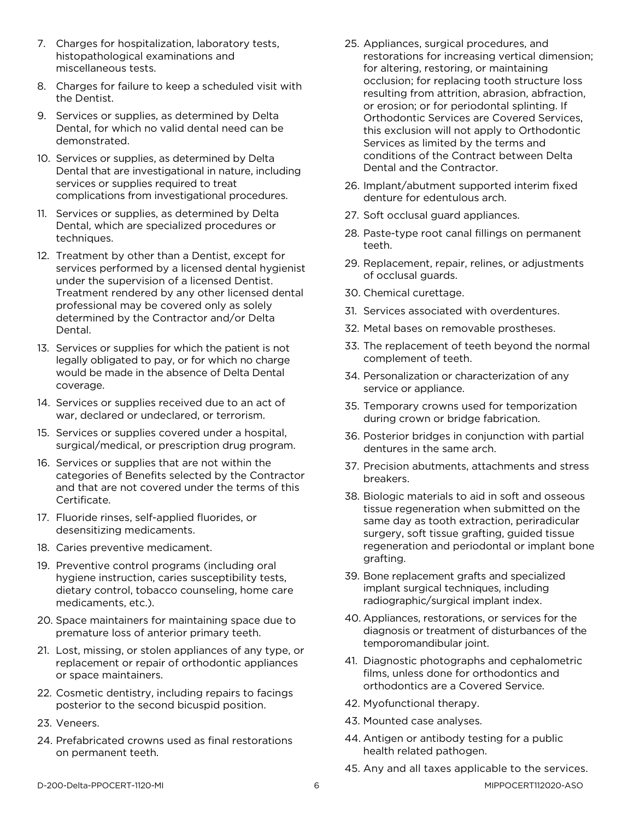- 7. Charges for hospitalization, laboratory tests, histopathological examinations and miscellaneous tests.
- 8. Charges for failure to keep a scheduled visit with the Dentist.
- 9. Services or supplies, as determined by Delta Dental, for which no valid dental need can be demonstrated.
- 10. Services or supplies, as determined by Delta Dental that are investigational in nature, including services or supplies required to treat complications from investigational procedures.
- 11. Services or supplies, as determined by Delta Dental, which are specialized procedures or techniques.
- 12. Treatment by other than a Dentist, except for services performed by a licensed dental hygienist under the supervision of a licensed Dentist. Treatment rendered by any other licensed dental professional may be covered only as solely determined by the Contractor and/or Delta Dental.
- 13. Services or supplies for which the patient is not legally obligated to pay, or for which no charge would be made in the absence of Delta Dental coverage.
- 14. Services or supplies received due to an act of war, declared or undeclared, or terrorism.
- 15. Services or supplies covered under a hospital, surgical/medical, or prescription drug program.
- 16. Services or supplies that are not within the categories of Benefits selected by the Contractor and that are not covered under the terms of this Certificate.
- 17. Fluoride rinses, self-applied fluorides, or desensitizing medicaments.
- 18. Caries preventive medicament.
- 19. Preventive control programs (including oral hygiene instruction, caries susceptibility tests, dietary control, tobacco counseling, home care medicaments, etc.).
- 20. Space maintainers for maintaining space due to premature loss of anterior primary teeth.
- 21. Lost, missing, or stolen appliances of any type, or replacement or repair of orthodontic appliances or space maintainers.
- 22. Cosmetic dentistry, including repairs to facings posterior to the second bicuspid position.
- 23. Veneers.
- 24. Prefabricated crowns used as final restorations on permanent teeth.
- 25. Appliances, surgical procedures, and restorations for increasing vertical dimension; for altering, restoring, or maintaining occlusion; for replacing tooth structure loss resulting from attrition, abrasion, abfraction, or erosion; or for periodontal splinting. If Orthodontic Services are Covered Services, this exclusion will not apply to Orthodontic Services as limited by the terms and conditions of the Contract between Delta Dental and the Contractor.
- 26. Implant/abutment supported interim fixed denture for edentulous arch.
- 27. Soft occlusal guard appliances.
- 28. Paste-type root canal fillings on permanent teeth.
- 29. Replacement, repair, relines, or adjustments of occlusal guards.
- 30. Chemical curettage.
- 31. Services associated with overdentures.
- 32. Metal bases on removable prostheses.
- 33. The replacement of teeth beyond the normal complement of teeth.
- 34. Personalization or characterization of any service or appliance.
- 35. Temporary crowns used for temporization during crown or bridge fabrication.
- 36. Posterior bridges in conjunction with partial dentures in the same arch.
- 37. Precision abutments, attachments and stress breakers.
- 38. Biologic materials to aid in soft and osseous tissue regeneration when submitted on the same day as tooth extraction, periradicular surgery, soft tissue grafting, guided tissue regeneration and periodontal or implant bone grafting.
- 39. Bone replacement grafts and specialized implant surgical techniques, including radiographic/surgical implant index.
- 40. Appliances, restorations, or services for the diagnosis or treatment of disturbances of the temporomandibular joint.
- 41. Diagnostic photographs and cephalometric films, unless done for orthodontics and orthodontics are a Covered Service.
- 42. Myofunctional therapy.
- 43. Mounted case analyses.
- 44. Antigen or antibody testing for a public health related pathogen.
- 45. Any and all taxes applicable to the services.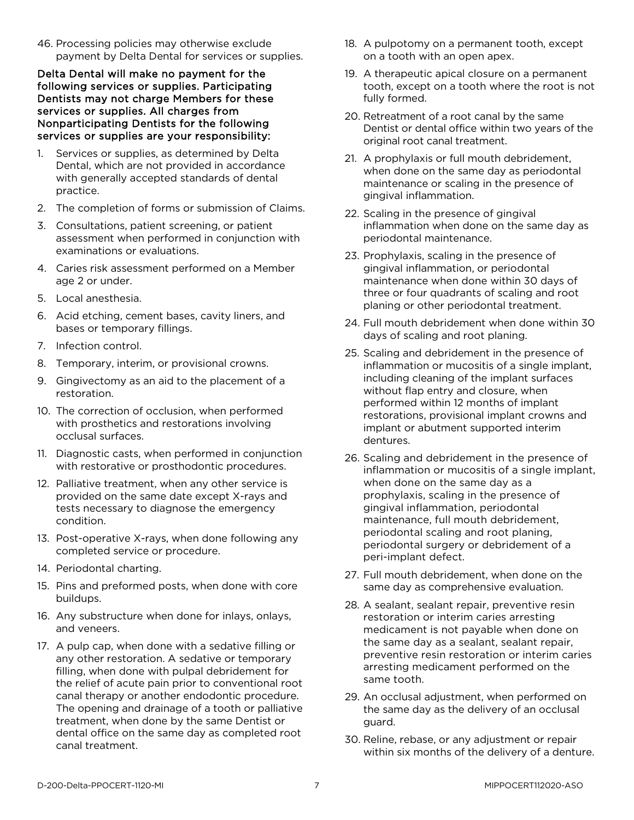46. Processing policies may otherwise exclude payment by Delta Dental for services or supplies.

Delta Dental will make no payment for the following services or supplies. Participating Dentists may not charge Members for these services or supplies. All charges from Nonparticipating Dentists for the following services or supplies are your responsibility:

- 1. Services or supplies, as determined by Delta Dental, which are not provided in accordance with generally accepted standards of dental practice.
- 2. The completion of forms or submission of Claims.
- 3. Consultations, patient screening, or patient assessment when performed in conjunction with examinations or evaluations.
- 4. Caries risk assessment performed on a Member age 2 or under.
- 5. Local anesthesia.
- 6. Acid etching, cement bases, cavity liners, and bases or temporary fillings.
- 7. Infection control.
- 8. Temporary, interim, or provisional crowns.
- 9. Gingivectomy as an aid to the placement of a restoration.
- 10. The correction of occlusion, when performed with prosthetics and restorations involving occlusal surfaces.
- 11. Diagnostic casts, when performed in conjunction with restorative or prosthodontic procedures.
- 12. Palliative treatment, when any other service is provided on the same date except X-rays and tests necessary to diagnose the emergency condition.
- 13. Post-operative X-rays, when done following any completed service or procedure.
- 14. Periodontal charting.
- 15. Pins and preformed posts, when done with core buildups.
- 16. Any substructure when done for inlays, onlays, and veneers.
- 17. A pulp cap, when done with a sedative filling or any other restoration. A sedative or temporary filling, when done with pulpal debridement for the relief of acute pain prior to conventional root canal therapy or another endodontic procedure. The opening and drainage of a tooth or palliative treatment, when done by the same Dentist or dental office on the same day as completed root canal treatment.
- 18. A pulpotomy on a permanent tooth, except on a tooth with an open apex.
- 19. A therapeutic apical closure on a permanent tooth, except on a tooth where the root is not fully formed.
- 20. Retreatment of a root canal by the same Dentist or dental office within two years of the original root canal treatment.
- 21. A prophylaxis or full mouth debridement, when done on the same day as periodontal maintenance or scaling in the presence of gingival inflammation.
- 22. Scaling in the presence of gingival inflammation when done on the same day as periodontal maintenance.
- 23. Prophylaxis, scaling in the presence of gingival inflammation, or periodontal maintenance when done within 30 days of three or four quadrants of scaling and root planing or other periodontal treatment.
- 24. Full mouth debridement when done within 30 days of scaling and root planing.
- 25. Scaling and debridement in the presence of inflammation or mucositis of a single implant, including cleaning of the implant surfaces without flap entry and closure, when performed within 12 months of implant restorations, provisional implant crowns and implant or abutment supported interim dentures.
- 26. Scaling and debridement in the presence of inflammation or mucositis of a single implant, when done on the same day as a prophylaxis, scaling in the presence of gingival inflammation, periodontal maintenance, full mouth debridement, periodontal scaling and root planing, periodontal surgery or debridement of a peri-implant defect.
- 27. Full mouth debridement, when done on the same day as comprehensive evaluation.
- 28. A sealant, sealant repair, preventive resin restoration or interim caries arresting medicament is not payable when done on the same day as a sealant, sealant repair, preventive resin restoration or interim caries arresting medicament performed on the same tooth.
- 29. An occlusal adjustment, when performed on the same day as the delivery of an occlusal guard.
- 30. Reline, rebase, or any adjustment or repair within six months of the delivery of a denture.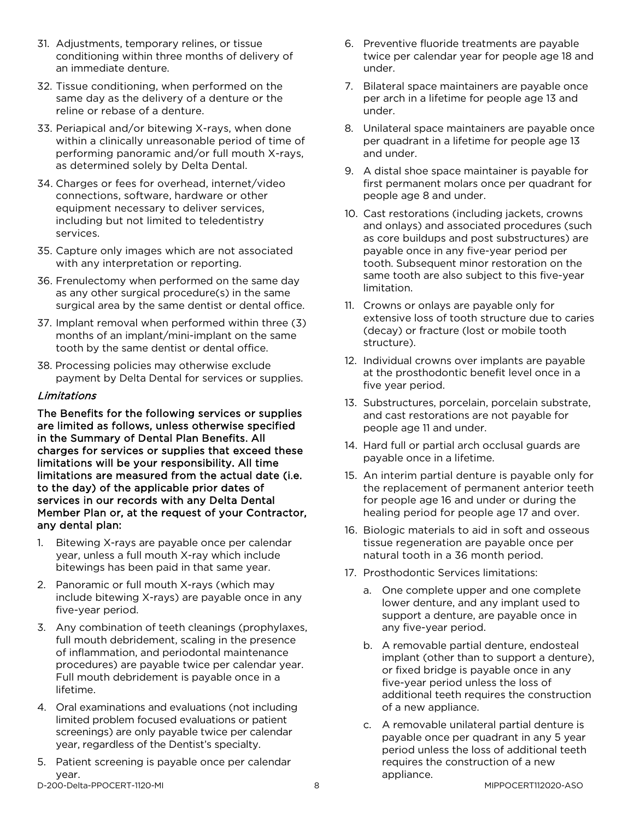- 31. Adjustments, temporary relines, or tissue conditioning within three months of delivery of an immediate denture.
- 32. Tissue conditioning, when performed on the same day as the delivery of a denture or the reline or rebase of a denture.
- 33. Periapical and/or bitewing X-rays, when done within a clinically unreasonable period of time of performing panoramic and/or full mouth X-rays, as determined solely by Delta Dental.
- 34. Charges or fees for overhead, internet/video connections, software, hardware or other equipment necessary to deliver services, including but not limited to teledentistry services.
- 35. Capture only images which are not associated with any interpretation or reporting.
- 36. Frenulectomy when performed on the same day as any other surgical procedure(s) in the same surgical area by the same dentist or dental office.
- 37. Implant removal when performed within three (3) months of an implant/mini-implant on the same tooth by the same dentist or dental office.
- 38. Processing policies may otherwise exclude payment by Delta Dental for services or supplies.

#### Limitations

The Benefits for the following services or supplies are limited as follows, unless otherwise specified in the Summary of Dental Plan Benefits. All charges for services or supplies that exceed these limitations will be your responsibility. All time limitations are measured from the actual date (i.e. to the day) of the applicable prior dates of services in our records with any Delta Dental Member Plan or, at the request of your Contractor, any dental plan:

- 1. Bitewing X-rays are payable once per calendar year, unless a full mouth X-ray which include bitewings has been paid in that same year.
- 2. Panoramic or full mouth X-rays (which may include bitewing X-rays) are payable once in any five-year period.
- 3. Any combination of teeth cleanings (prophylaxes, full mouth debridement, scaling in the presence of inflammation, and periodontal maintenance procedures) are payable twice per calendar year. Full mouth debridement is payable once in a lifetime.
- 4. Oral examinations and evaluations (not including limited problem focused evaluations or patient screenings) are only payable twice per calendar year, regardless of the Dentist's specialty.
- 5. Patient screening is payable once per calendar year.
- 6. Preventive fluoride treatments are payable twice per calendar year for people age 18 and under.
- 7. Bilateral space maintainers are payable once per arch in a lifetime for people age 13 and under.
- 8. Unilateral space maintainers are payable once per quadrant in a lifetime for people age 13 and under.
- 9. A distal shoe space maintainer is payable for first permanent molars once per quadrant for people age 8 and under.
- 10. Cast restorations (including jackets, crowns and onlays) and associated procedures (such as core buildups and post substructures) are payable once in any five-year period per tooth. Subsequent minor restoration on the same tooth are also subject to this five-year limitation.
- 11. Crowns or onlays are payable only for extensive loss of tooth structure due to caries (decay) or fracture (lost or mobile tooth structure).
- 12. Individual crowns over implants are payable at the prosthodontic benefit level once in a five year period.
- 13. Substructures, porcelain, porcelain substrate, and cast restorations are not payable for people age 11 and under.
- 14. Hard full or partial arch occlusal guards are payable once in a lifetime.
- 15. An interim partial denture is payable only for the replacement of permanent anterior teeth for people age 16 and under or during the healing period for people age 17 and over.
- 16. Biologic materials to aid in soft and osseous tissue regeneration are payable once per natural tooth in a 36 month period.
- 17. Prosthodontic Services limitations:
	- a. One complete upper and one complete lower denture, and any implant used to support a denture, are payable once in any five-year period.
	- b. A removable partial denture, endosteal implant (other than to support a denture), or fixed bridge is payable once in any five-year period unless the loss of additional teeth requires the construction of a new appliance.
	- c. A removable unilateral partial denture is payable once per quadrant in any 5 year period unless the loss of additional teeth requires the construction of a new appliance.

D-200-Delta-PPOCERT-1120-MI 8 MIPPOCERT112020-ASO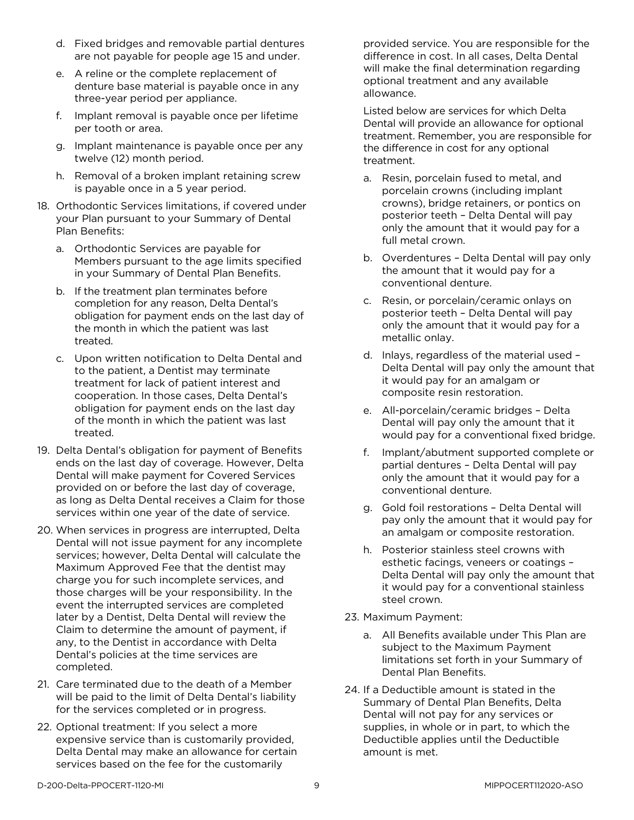- d. Fixed bridges and removable partial dentures are not payable for people age 15 and under.
- e. A reline or the complete replacement of denture base material is payable once in any three-year period per appliance.
- f. Implant removal is payable once per lifetime per tooth or area.
- g. Implant maintenance is payable once per any twelve (12) month period.
- h. Removal of a broken implant retaining screw is payable once in a 5 year period.
- 18. Orthodontic Services limitations, if covered under your Plan pursuant to your Summary of Dental Plan Benefits:
	- a. Orthodontic Services are payable for Members pursuant to the age limits specified in your Summary of Dental Plan Benefits.
	- b. If the treatment plan terminates before completion for any reason, Delta Dental's obligation for payment ends on the last day of the month in which the patient was last treated.
	- c. Upon written notification to Delta Dental and to the patient, a Dentist may terminate treatment for lack of patient interest and cooperation. In those cases, Delta Dental's obligation for payment ends on the last day of the month in which the patient was last treated.
- 19. Delta Dental's obligation for payment of Benefits ends on the last day of coverage. However, Delta Dental will make payment for Covered Services provided on or before the last day of coverage, as long as Delta Dental receives a Claim for those services within one year of the date of service.
- 20. When services in progress are interrupted, Delta Dental will not issue payment for any incomplete services; however, Delta Dental will calculate the Maximum Approved Fee that the dentist may charge you for such incomplete services, and those charges will be your responsibility. In the event the interrupted services are completed later by a Dentist, Delta Dental will review the Claim to determine the amount of payment, if any, to the Dentist in accordance with Delta Dental's policies at the time services are completed.
- 21. Care terminated due to the death of a Member will be paid to the limit of Delta Dental's liability for the services completed or in progress.
- 22. Optional treatment: If you select a more expensive service than is customarily provided, Delta Dental may make an allowance for certain services based on the fee for the customarily

provided service. You are responsible for the difference in cost. In all cases, Delta Dental will make the final determination regarding optional treatment and any available allowance.

Listed below are services for which Delta Dental will provide an allowance for optional treatment. Remember, you are responsible for the difference in cost for any optional treatment.

- a. Resin, porcelain fused to metal, and porcelain crowns (including implant crowns), bridge retainers, or pontics on posterior teeth – Delta Dental will pay only the amount that it would pay for a full metal crown.
- b. Overdentures Delta Dental will pay only the amount that it would pay for a conventional denture.
- c. Resin, or porcelain/ceramic onlays on posterior teeth – Delta Dental will pay only the amount that it would pay for a metallic onlay.
- d. Inlays, regardless of the material used Delta Dental will pay only the amount that it would pay for an amalgam or composite resin restoration.
- e. All-porcelain/ceramic bridges Delta Dental will pay only the amount that it would pay for a conventional fixed bridge.
- f. Implant/abutment supported complete or partial dentures – Delta Dental will pay only the amount that it would pay for a conventional denture.
- g. Gold foil restorations Delta Dental will pay only the amount that it would pay for an amalgam or composite restoration.
- h. Posterior stainless steel crowns with esthetic facings, veneers or coatings – Delta Dental will pay only the amount that it would pay for a conventional stainless steel crown.
- 23. Maximum Payment:
	- a. All Benefits available under This Plan are subject to the Maximum Payment limitations set forth in your Summary of Dental Plan Benefits.
- 24. If a Deductible amount is stated in the Summary of Dental Plan Benefits, Delta Dental will not pay for any services or supplies, in whole or in part, to which the Deductible applies until the Deductible amount is met.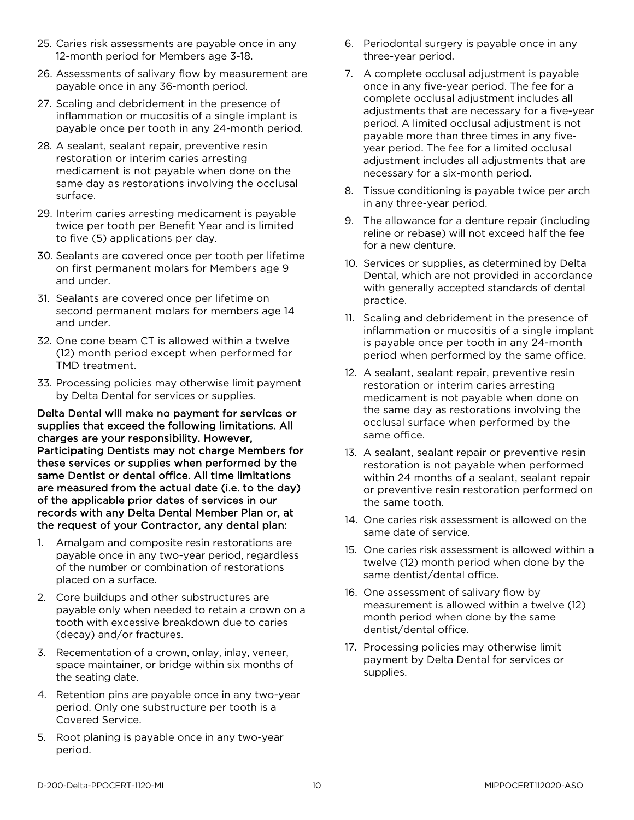- 25. Caries risk assessments are payable once in any 12-month period for Members age 3-18.
- 26. Assessments of salivary flow by measurement are payable once in any 36-month period.
- 27. Scaling and debridement in the presence of inflammation or mucositis of a single implant is payable once per tooth in any 24-month period.
- 28. A sealant, sealant repair, preventive resin restoration or interim caries arresting medicament is not payable when done on the same day as restorations involving the occlusal surface.
- 29. Interim caries arresting medicament is payable twice per tooth per Benefit Year and is limited to five (5) applications per day.
- 30. Sealants are covered once per tooth per lifetime on first permanent molars for Members age 9 and under.
- 31. Sealants are covered once per lifetime on second permanent molars for members age 14 and under.
- 32. One cone beam CT is allowed within a twelve (12) month period except when performed for TMD treatment.
- 33. Processing policies may otherwise limit payment by Delta Dental for services or supplies.

Delta Dental will make no payment for services or supplies that exceed the following limitations. All charges are your responsibility. However, Participating Dentists may not charge Members for these services or supplies when performed by the same Dentist or dental office. All time limitations are measured from the actual date (i.e. to the day) of the applicable prior dates of services in our records with any Delta Dental Member Plan or, at the request of your Contractor, any dental plan:

- 1. Amalgam and composite resin restorations are payable once in any two-year period, regardless of the number or combination of restorations placed on a surface.
- 2. Core buildups and other substructures are payable only when needed to retain a crown on a tooth with excessive breakdown due to caries (decay) and/or fractures.
- 3. Recementation of a crown, onlay, inlay, veneer, space maintainer, or bridge within six months of the seating date.
- 4. Retention pins are payable once in any two-year period. Only one substructure per tooth is a Covered Service.
- 5. Root planing is payable once in any two-year period.
- 6. Periodontal surgery is payable once in any three-year period.
- 7. A complete occlusal adjustment is payable once in any five-year period. The fee for a complete occlusal adjustment includes all adjustments that are necessary for a five-year period. A limited occlusal adjustment is not payable more than three times in any fiveyear period. The fee for a limited occlusal adjustment includes all adjustments that are necessary for a six-month period.
- 8. Tissue conditioning is payable twice per arch in any three-year period.
- 9. The allowance for a denture repair (including reline or rebase) will not exceed half the fee for a new denture.
- 10. Services or supplies, as determined by Delta Dental, which are not provided in accordance with generally accepted standards of dental practice.
- 11. Scaling and debridement in the presence of inflammation or mucositis of a single implant is payable once per tooth in any 24-month period when performed by the same office.
- 12. A sealant, sealant repair, preventive resin restoration or interim caries arresting medicament is not payable when done on the same day as restorations involving the occlusal surface when performed by the same office.
- 13. A sealant, sealant repair or preventive resin restoration is not payable when performed within 24 months of a sealant, sealant repair or preventive resin restoration performed on the same tooth.
- 14. One caries risk assessment is allowed on the same date of service.
- 15. One caries risk assessment is allowed within a twelve (12) month period when done by the same dentist/dental office.
- 16. One assessment of salivary flow by measurement is allowed within a twelve (12) month period when done by the same dentist/dental office.
- 17. Processing policies may otherwise limit payment by Delta Dental for services or supplies.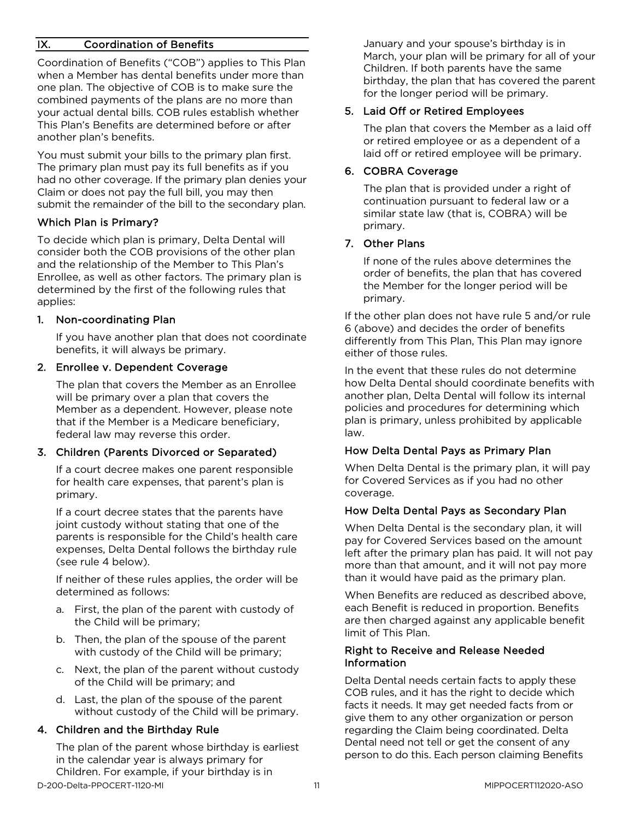#### IX. Coordination of Benefits

Coordination of Benefits ("COB") applies to This Plan when a Member has dental benefits under more than one plan. The objective of COB is to make sure the combined payments of the plans are no more than your actual dental bills. COB rules establish whether This Plan's Benefits are determined before or after another plan's benefits.

You must submit your bills to the primary plan first. The primary plan must pay its full benefits as if you had no other coverage. If the primary plan denies your Claim or does not pay the full bill, you may then submit the remainder of the bill to the secondary plan.

#### Which Plan is Primary?

To decide which plan is primary, Delta Dental will consider both the COB provisions of the other plan and the relationship of the Member to This Plan's Enrollee, as well as other factors. The primary plan is determined by the first of the following rules that applies:

#### 1. Non-coordinating Plan

If you have another plan that does not coordinate benefits, it will always be primary.

#### 2. Enrollee v. Dependent Coverage

The plan that covers the Member as an Enrollee will be primary over a plan that covers the Member as a dependent. However, please note that if the Member is a Medicare beneficiary, federal law may reverse this order.

#### 3. Children (Parents Divorced or Separated)

If a court decree makes one parent responsible for health care expenses, that parent's plan is primary.

If a court decree states that the parents have joint custody without stating that one of the parents is responsible for the Child's health care expenses, Delta Dental follows the birthday rule (see rule 4 below).

If neither of these rules applies, the order will be determined as follows:

- a. First, the plan of the parent with custody of the Child will be primary;
- b. Then, the plan of the spouse of the parent with custody of the Child will be primary;
- c. Next, the plan of the parent without custody of the Child will be primary; and
- d. Last, the plan of the spouse of the parent without custody of the Child will be primary.

#### 4. Children and the Birthday Rule

D-200-Delta-PPOCERT-1120-MI 11 MIPPOCERT112020-ASO The plan of the parent whose birthday is earliest in the calendar year is always primary for Children. For example, if your birthday is in

January and your spouse's birthday is in March, your plan will be primary for all of your Children. If both parents have the same birthday, the plan that has covered the parent for the longer period will be primary.

#### 5. Laid Off or Retired Employees

The plan that covers the Member as a laid off or retired employee or as a dependent of a laid off or retired employee will be primary.

#### 6. COBRA Coverage

The plan that is provided under a right of continuation pursuant to federal law or a similar state law (that is, COBRA) will be primary.

#### 7. Other Plans

If none of the rules above determines the order of benefits, the plan that has covered the Member for the longer period will be primary.

If the other plan does not have rule 5 and/or rule 6 (above) and decides the order of benefits differently from This Plan, This Plan may ignore either of those rules.

In the event that these rules do not determine how Delta Dental should coordinate benefits with another plan, Delta Dental will follow its internal policies and procedures for determining which plan is primary, unless prohibited by applicable law.

#### How Delta Dental Pays as Primary Plan

When Delta Dental is the primary plan, it will pay for Covered Services as if you had no other coverage.

#### How Delta Dental Pays as Secondary Plan

When Delta Dental is the secondary plan, it will pay for Covered Services based on the amount left after the primary plan has paid. It will not pay more than that amount, and it will not pay more than it would have paid as the primary plan.

When Benefits are reduced as described above, each Benefit is reduced in proportion. Benefits are then charged against any applicable benefit limit of This Plan.

#### Right to Receive and Release Needed Information

Delta Dental needs certain facts to apply these COB rules, and it has the right to decide which facts it needs. It may get needed facts from or give them to any other organization or person regarding the Claim being coordinated. Delta Dental need not tell or get the consent of any person to do this. Each person claiming Benefits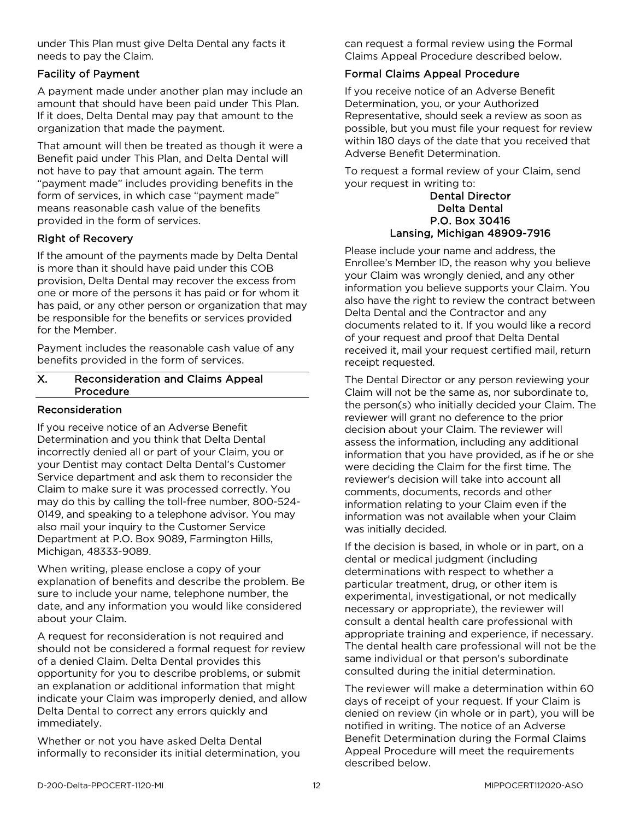under This Plan must give Delta Dental any facts it needs to pay the Claim.

#### Facility of Payment

A payment made under another plan may include an amount that should have been paid under This Plan. If it does, Delta Dental may pay that amount to the organization that made the payment.

That amount will then be treated as though it were a Benefit paid under This Plan, and Delta Dental will not have to pay that amount again. The term "payment made" includes providing benefits in the form of services, in which case "payment made" means reasonable cash value of the benefits provided in the form of services.

#### Right of Recovery

If the amount of the payments made by Delta Dental is more than it should have paid under this COB provision, Delta Dental may recover the excess from one or more of the persons it has paid or for whom it has paid, or any other person or organization that may be responsible for the benefits or services provided for the Member.

Payment includes the reasonable cash value of any benefits provided in the form of services.

#### X. Reconsideration and Claims Appeal Procedure

#### Reconsideration

If you receive notice of an Adverse Benefit Determination and you think that Delta Dental incorrectly denied all or part of your Claim, you or your Dentist may contact Delta Dental's Customer Service department and ask them to reconsider the Claim to make sure it was processed correctly. You may do this by calling the toll-free number, 800-524- 0149, and speaking to a telephone advisor. You may also mail your inquiry to the Customer Service Department at P.O. Box 9089, Farmington Hills, Michigan, 48333-9089.

When writing, please enclose a copy of your explanation of benefits and describe the problem. Be sure to include your name, telephone number, the date, and any information you would like considered about your Claim.

A request for reconsideration is not required and should not be considered a formal request for review of a denied Claim. Delta Dental provides this opportunity for you to describe problems, or submit an explanation or additional information that might indicate your Claim was improperly denied, and allow Delta Dental to correct any errors quickly and immediately.

Whether or not you have asked Delta Dental informally to reconsider its initial determination, you can request a formal review using the Formal Claims Appeal Procedure described below.

#### Formal Claims Appeal Procedure

If you receive notice of an Adverse Benefit Determination, you, or your Authorized Representative, should seek a review as soon as possible, but you must file your request for review within 180 days of the date that you received that Adverse Benefit Determination.

To request a formal review of your Claim, send your request in writing to:

#### Dental Director Delta Dental P.O. Box 30416 Lansing, Michigan 48909-7916

Please include your name and address, the Enrollee's Member ID, the reason why you believe your Claim was wrongly denied, and any other information you believe supports your Claim. You also have the right to review the contract between Delta Dental and the Contractor and any documents related to it. If you would like a record of your request and proof that Delta Dental received it, mail your request certified mail, return receipt requested.

The Dental Director or any person reviewing your Claim will not be the same as, nor subordinate to, the person(s) who initially decided your Claim. The reviewer will grant no deference to the prior decision about your Claim. The reviewer will assess the information, including any additional information that you have provided, as if he or she were deciding the Claim for the first time. The reviewer's decision will take into account all comments, documents, records and other information relating to your Claim even if the information was not available when your Claim was initially decided.

If the decision is based, in whole or in part, on a dental or medical judgment (including determinations with respect to whether a particular treatment, drug, or other item is experimental, investigational, or not medically necessary or appropriate), the reviewer will consult a dental health care professional with appropriate training and experience, if necessary. The dental health care professional will not be the same individual or that person's subordinate consulted during the initial determination.

The reviewer will make a determination within 60 days of receipt of your request. If your Claim is denied on review (in whole or in part), you will be notified in writing. The notice of an Adverse Benefit Determination during the Formal Claims Appeal Procedure will meet the requirements described below.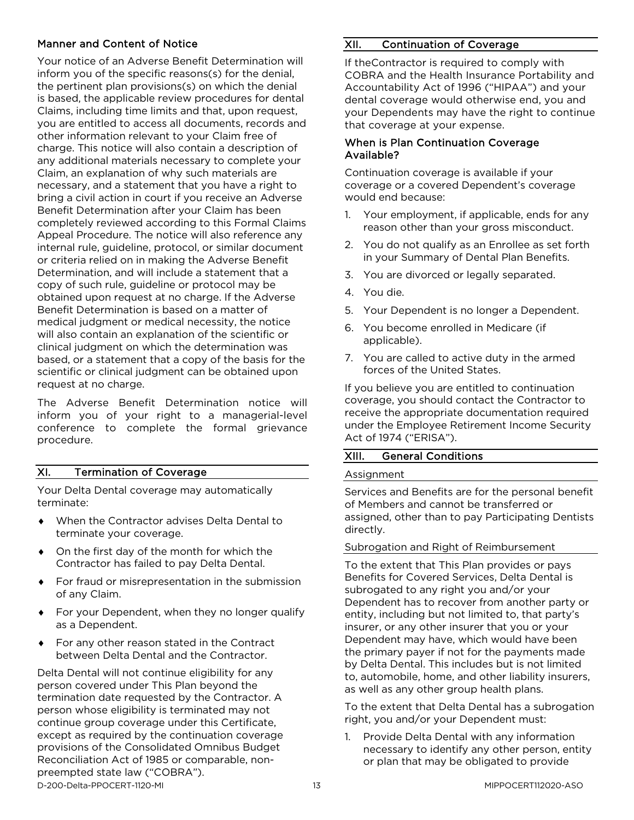#### Manner and Content of Notice

Your notice of an Adverse Benefit Determination will inform you of the specific reasons(s) for the denial, the pertinent plan provisions(s) on which the denial is based, the applicable review procedures for dental Claims, including time limits and that, upon request, you are entitled to access all documents, records and other information relevant to your Claim free of charge. This notice will also contain a description of any additional materials necessary to complete your Claim, an explanation of why such materials are necessary, and a statement that you have a right to bring a civil action in court if you receive an Adverse Benefit Determination after your Claim has been completely reviewed according to this Formal Claims Appeal Procedure. The notice will also reference any internal rule, guideline, protocol, or similar document or criteria relied on in making the Adverse Benefit Determination, and will include a statement that a copy of such rule, guideline or protocol may be obtained upon request at no charge. If the Adverse Benefit Determination is based on a matter of medical judgment or medical necessity, the notice will also contain an explanation of the scientific or clinical judgment on which the determination was based, or a statement that a copy of the basis for the scientific or clinical judgment can be obtained upon request at no charge.

The Adverse Benefit Determination notice will inform you of your right to a managerial-level conference to complete the formal grievance procedure.

#### XI. Termination of Coverage

Your Delta Dental coverage may automatically terminate:

- ♦ When the Contractor advises Delta Dental to terminate your coverage.
- ♦ On the first day of the month for which the Contractor has failed to pay Delta Dental.
- For fraud or misrepresentation in the submission of any Claim.
- ♦ For your Dependent, when they no longer qualify as a Dependent.
- For any other reason stated in the Contract between Delta Dental and the Contractor.

D-200-Delta-PPOCERT-1120-MI 13 MIPPOCERT112020-ASO Delta Dental will not continue eligibility for any person covered under This Plan beyond the termination date requested by the Contractor. A person whose eligibility is terminated may not continue group coverage under this Certificate, except as required by the continuation coverage provisions of the Consolidated Omnibus Budget Reconciliation Act of 1985 or comparable, nonpreempted state law ("COBRA").

#### XII. Continuation of Coverage

If theContractor is required to comply with COBRA and the Health Insurance Portability and Accountability Act of 1996 ("HIPAA") and your dental coverage would otherwise end, you and your Dependents may have the right to continue that coverage at your expense.

#### When is Plan Continuation Coverage Available?

Continuation coverage is available if your coverage or a covered Dependent's coverage would end because:

- 1. Your employment, if applicable, ends for any reason other than your gross misconduct.
- 2. You do not qualify as an Enrollee as set forth in your Summary of Dental Plan Benefits.
- 3. You are divorced or legally separated.
- 4. You die.
- 5. Your Dependent is no longer a Dependent.
- 6. You become enrolled in Medicare (if applicable).
- 7. You are called to active duty in the armed forces of the United States.

If you believe you are entitled to continuation coverage, you should contact the Contractor to receive the appropriate documentation required under the Employee Retirement Income Security Act of 1974 ("ERISA").

#### XIII. General Conditions

#### Assignment

Services and Benefits are for the personal benefit of Members and cannot be transferred or assigned, other than to pay Participating Dentists directly.

#### Subrogation and Right of Reimbursement

To the extent that This Plan provides or pays Benefits for Covered Services, Delta Dental is subrogated to any right you and/or your Dependent has to recover from another party or entity, including but not limited to, that party's insurer, or any other insurer that you or your Dependent may have, which would have been the primary payer if not for the payments made by Delta Dental. This includes but is not limited to, automobile, home, and other liability insurers, as well as any other group health plans.

To the extent that Delta Dental has a subrogation right, you and/or your Dependent must:

1. Provide Delta Dental with any information necessary to identify any other person, entity or plan that may be obligated to provide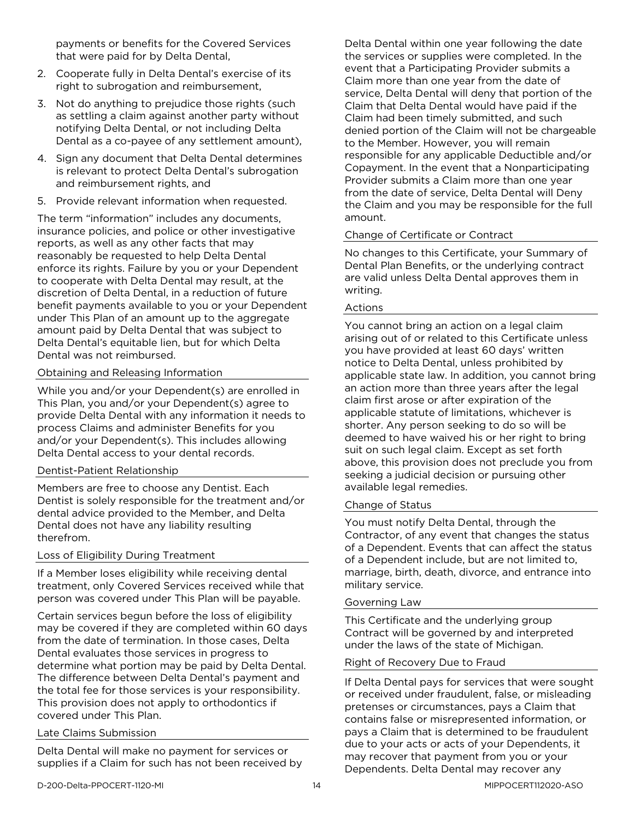payments or benefits for the Covered Services that were paid for by Delta Dental,

- 2. Cooperate fully in Delta Dental's exercise of its right to subrogation and reimbursement,
- 3. Not do anything to prejudice those rights (such as settling a claim against another party without notifying Delta Dental, or not including Delta Dental as a co-payee of any settlement amount),
- 4. Sign any document that Delta Dental determines is relevant to protect Delta Dental's subrogation and reimbursement rights, and
- 5. Provide relevant information when requested.

The term "information" includes any documents, insurance policies, and police or other investigative reports, as well as any other facts that may reasonably be requested to help Delta Dental enforce its rights. Failure by you or your Dependent to cooperate with Delta Dental may result, at the discretion of Delta Dental, in a reduction of future benefit payments available to you or your Dependent under This Plan of an amount up to the aggregate amount paid by Delta Dental that was subject to Delta Dental's equitable lien, but for which Delta Dental was not reimbursed.

#### Obtaining and Releasing Information

While you and/or your Dependent(s) are enrolled in This Plan, you and/or your Dependent(s) agree to provide Delta Dental with any information it needs to process Claims and administer Benefits for you and/or your Dependent(s). This includes allowing Delta Dental access to your dental records.

#### Dentist-Patient Relationship

Members are free to choose any Dentist. Each Dentist is solely responsible for the treatment and/or dental advice provided to the Member, and Delta Dental does not have any liability resulting therefrom.

#### Loss of Eligibility During Treatment

If a Member loses eligibility while receiving dental treatment, only Covered Services received while that person was covered under This Plan will be payable.

Certain services begun before the loss of eligibility may be covered if they are completed within 60 days from the date of termination. In those cases, Delta Dental evaluates those services in progress to determine what portion may be paid by Delta Dental. The difference between Delta Dental's payment and the total fee for those services is your responsibility. This provision does not apply to orthodontics if covered under This Plan.

#### Late Claims Submission

Delta Dental will make no payment for services or supplies if a Claim for such has not been received by Delta Dental within one year following the date the services or supplies were completed. In the event that a Participating Provider submits a Claim more than one year from the date of service, Delta Dental will deny that portion of the Claim that Delta Dental would have paid if the Claim had been timely submitted, and such denied portion of the Claim will not be chargeable to the Member. However, you will remain responsible for any applicable Deductible and/or Copayment. In the event that a Nonparticipating Provider submits a Claim more than one year from the date of service, Delta Dental will Deny the Claim and you may be responsible for the full amount.

#### Change of Certificate or Contract

No changes to this Certificate, your Summary of Dental Plan Benefits, or the underlying contract are valid unless Delta Dental approves them in writing.

#### Actions

You cannot bring an action on a legal claim arising out of or related to this Certificate unless you have provided at least 60 days' written notice to Delta Dental, unless prohibited by applicable state law. In addition, you cannot bring an action more than three years after the legal claim first arose or after expiration of the applicable statute of limitations, whichever is shorter. Any person seeking to do so will be deemed to have waived his or her right to bring suit on such legal claim. Except as set forth above, this provision does not preclude you from seeking a judicial decision or pursuing other available legal remedies.

#### Change of Status

You must notify Delta Dental, through the Contractor, of any event that changes the status of a Dependent. Events that can affect the status of a Dependent include, but are not limited to, marriage, birth, death, divorce, and entrance into military service.

#### Governing Law

This Certificate and the underlying group Contract will be governed by and interpreted under the laws of the state of Michigan.

#### Right of Recovery Due to Fraud

If Delta Dental pays for services that were sought or received under fraudulent, false, or misleading pretenses or circumstances, pays a Claim that contains false or misrepresented information, or pays a Claim that is determined to be fraudulent due to your acts or acts of your Dependents, it may recover that payment from you or your Dependents. Delta Dental may recover any